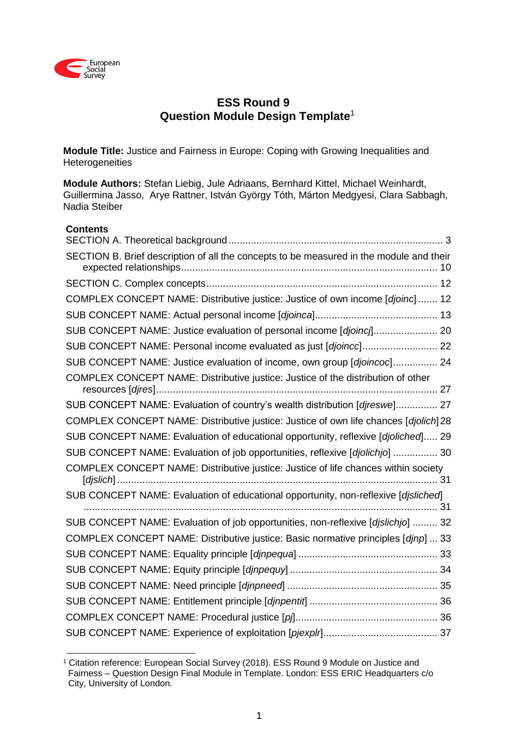

# **ESS Round 9 Question Module Design Template**<sup>1</sup>

**Module Title:** Justice and Fairness in Europe: Coping with Growing Inequalities and **Heterogeneities** 

**Module Authors:** Stefan Liebig, Jule Adriaans, Bernhard Kittel, Michael Weinhardt, Guillermina Jasso, Arye Rattner, István György Tóth, Márton Medgyesi, Clara Sabbagh, Nadia Steiber

# **Contents**

| SECTION B. Brief description of all the concepts to be measured in the module and their |  |
|-----------------------------------------------------------------------------------------|--|
|                                                                                         |  |
| COMPLEX CONCEPT NAME: Distributive justice: Justice of own income [djoinc]  12          |  |
|                                                                                         |  |
| SUB CONCEPT NAME: Justice evaluation of personal income [djoincj] 20                    |  |
| SUB CONCEPT NAME: Personal income evaluated as just [djoincc] 22                        |  |
| SUB CONCEPT NAME: Justice evaluation of income, own group [djoincoc] 24                 |  |
| COMPLEX CONCEPT NAME: Distributive justice: Justice of the distribution of other        |  |
| SUB CONCEPT NAME: Evaluation of country's wealth distribution [djreswe] 27              |  |
| COMPLEX CONCEPT NAME: Distributive justice: Justice of own life chances [djolich]28     |  |
| SUB CONCEPT NAME: Evaluation of educational opportunity, reflexive [djoliched] 29       |  |
| SUB CONCEPT NAME: Evaluation of job opportunities, reflexive [djolichjo]  30            |  |
| COMPLEX CONCEPT NAME: Distributive justice: Justice of life chances within society      |  |
| SUB CONCEPT NAME: Evaluation of educational opportunity, non-reflexive [djsliched]      |  |
| SUB CONCEPT NAME: Evaluation of job opportunities, non-reflexive [djslichjo]  32        |  |
| COMPLEX CONCEPT NAME: Distributive justice: Basic normative principles [djnp]  33       |  |
|                                                                                         |  |
|                                                                                         |  |
|                                                                                         |  |
|                                                                                         |  |
|                                                                                         |  |
|                                                                                         |  |

<sup>&</sup>lt;u>.</u> <sup>1</sup> Citation reference: European Social Survey (2018). ESS Round 9 Module on Justice and Fairness – Question Design Final Module in Template. London: ESS ERIC Headquarters c/o City, University of London.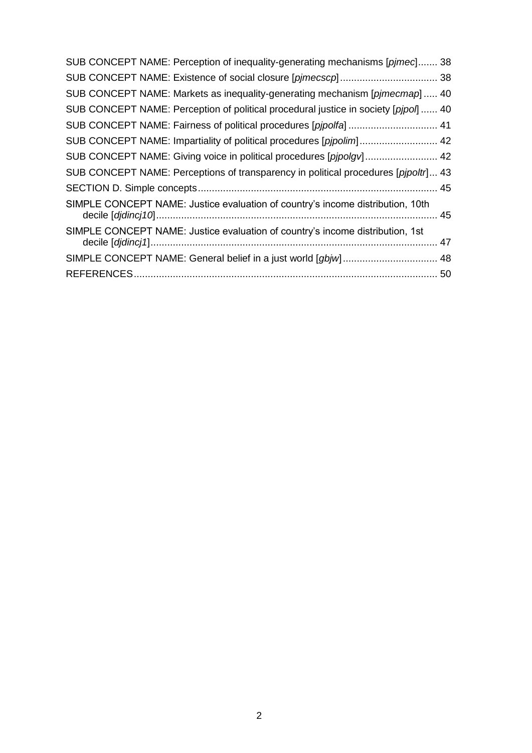| SUB CONCEPT NAME: Perception of inequality-generating mechanisms [pjmec] 38         |  |
|-------------------------------------------------------------------------------------|--|
|                                                                                     |  |
| SUB CONCEPT NAME: Markets as inequality-generating mechanism [pjmecmap] 40          |  |
| SUB CONCEPT NAME: Perception of political procedural justice in society [pipol]  40 |  |
| SUB CONCEPT NAME: Fairness of political procedures [pjpolfa]  41                    |  |
| SUB CONCEPT NAME: Impartiality of political procedures [pjpolim] 42                 |  |
| SUB CONCEPT NAME: Giving voice in political procedures [pjpolgv] 42                 |  |
| SUB CONCEPT NAME: Perceptions of transparency in political procedures [pipoltr] 43  |  |
|                                                                                     |  |
| SIMPLE CONCEPT NAME: Justice evaluation of country's income distribution, 10th      |  |
| SIMPLE CONCEPT NAME: Justice evaluation of country's income distribution, 1st       |  |
|                                                                                     |  |
|                                                                                     |  |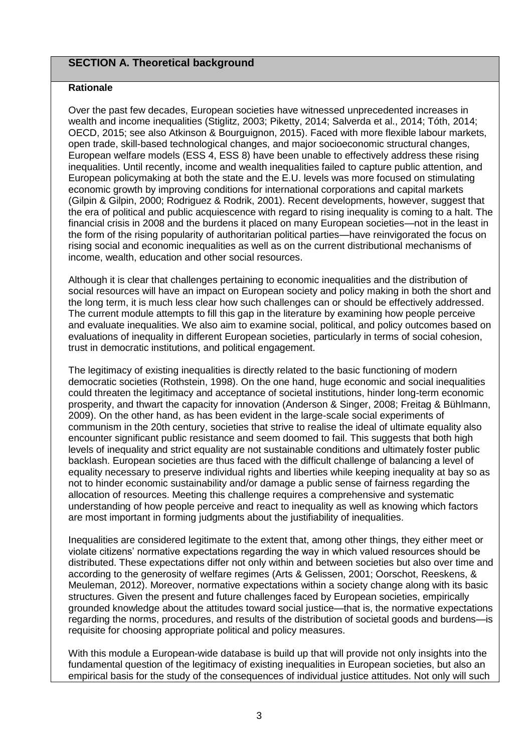# <span id="page-2-0"></span>**SECTION A. Theoretical background**

#### **Rationale**

Over the past few decades, European societies have witnessed unprecedented increases in wealth and income inequalities (Stiglitz, 2003; Piketty, 2014; Salverda et al., 2014; Tóth, 2014; OECD, 2015; see also Atkinson & Bourguignon, 2015). Faced with more flexible labour markets, open trade, skill-based technological changes, and major socioeconomic structural changes, European welfare models (ESS 4, ESS 8) have been unable to effectively address these rising inequalities. Until recently, income and wealth inequalities failed to capture public attention, and European policymaking at both the state and the E.U. levels was more focused on stimulating economic growth by improving conditions for international corporations and capital markets (Gilpin & Gilpin, 2000; Rodriguez & Rodrik, 2001). Recent developments, however, suggest that the era of political and public acquiescence with regard to rising inequality is coming to a halt. The financial crisis in 2008 and the burdens it placed on many European societies—not in the least in the form of the rising popularity of authoritarian political parties—have reinvigorated the focus on rising social and economic inequalities as well as on the current distributional mechanisms of income, wealth, education and other social resources.

Although it is clear that challenges pertaining to economic inequalities and the distribution of social resources will have an impact on European society and policy making in both the short and the long term, it is much less clear how such challenges can or should be effectively addressed. The current module attempts to fill this gap in the literature by examining how people perceive and evaluate inequalities. We also aim to examine social, political, and policy outcomes based on evaluations of inequality in different European societies, particularly in terms of social cohesion, trust in democratic institutions, and political engagement.

The legitimacy of existing inequalities is directly related to the basic functioning of modern democratic societies (Rothstein, 1998). On the one hand, huge economic and social inequalities could threaten the legitimacy and acceptance of societal institutions, hinder long-term economic prosperity, and thwart the capacity for innovation (Anderson & Singer, 2008; Freitag & Bühlmann, 2009). On the other hand, as has been evident in the large-scale social experiments of communism in the 20th century, societies that strive to realise the ideal of ultimate equality also encounter significant public resistance and seem doomed to fail. This suggests that both high levels of inequality and strict equality are not sustainable conditions and ultimately foster public backlash. European societies are thus faced with the difficult challenge of balancing a level of equality necessary to preserve individual rights and liberties while keeping inequality at bay so as not to hinder economic sustainability and/or damage a public sense of fairness regarding the allocation of resources. Meeting this challenge requires a comprehensive and systematic understanding of how people perceive and react to inequality as well as knowing which factors are most important in forming judgments about the justifiability of inequalities.

Inequalities are considered legitimate to the extent that, among other things, they either meet or violate citizens' normative expectations regarding the way in which valued resources should be distributed. These expectations differ not only within and between societies but also over time and according to the generosity of welfare regimes (Arts & Gelissen, 2001; Oorschot, Reeskens, & Meuleman, 2012). Moreover, normative expectations within a society change along with its basic structures. Given the present and future challenges faced by European societies, empirically grounded knowledge about the attitudes toward social justice—that is, the normative expectations regarding the norms, procedures, and results of the distribution of societal goods and burdens—is requisite for choosing appropriate political and policy measures.

With this module a European-wide database is build up that will provide not only insights into the fundamental question of the legitimacy of existing inequalities in European societies, but also an empirical basis for the study of the consequences of individual justice attitudes. Not only will such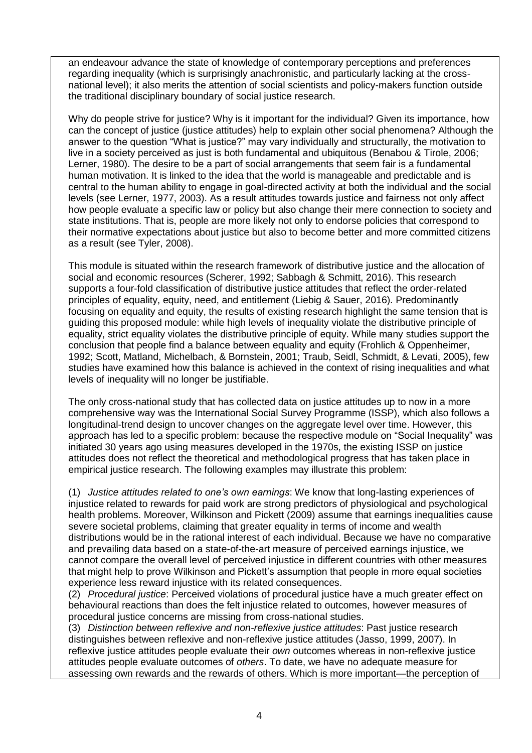an endeavour advance the state of knowledge of contemporary perceptions and preferences regarding inequality (which is surprisingly anachronistic, and particularly lacking at the crossnational level); it also merits the attention of social scientists and policy-makers function outside the traditional disciplinary boundary of social justice research.

Why do people strive for justice? Why is it important for the individual? Given its importance, how can the concept of justice (justice attitudes) help to explain other social phenomena? Although the answer to the question "What is justice?" may vary individually and structurally, the motivation to live in a society perceived as just is both fundamental and ubiquitous (Benabou & Tirole, 2006; Lerner, 1980). The desire to be a part of social arrangements that seem fair is a fundamental human motivation. It is linked to the idea that the world is manageable and predictable and is central to the human ability to engage in goal-directed activity at both the individual and the social levels (see Lerner, 1977, 2003). As a result attitudes towards justice and fairness not only affect how people evaluate a specific law or policy but also change their mere connection to society and state institutions. That is, people are more likely not only to endorse policies that correspond to their normative expectations about justice but also to become better and more committed citizens as a result (see Tyler, 2008).

This module is situated within the research framework of distributive justice and the allocation of social and economic resources (Scherer, 1992; Sabbagh & Schmitt, 2016). This research supports a four-fold classification of distributive justice attitudes that reflect the order-related principles of equality, equity, need, and entitlement (Liebig & Sauer, 2016). Predominantly focusing on equality and equity, the results of existing research highlight the same tension that is guiding this proposed module: while high levels of inequality violate the distributive principle of equality, strict equality violates the distributive principle of equity. While many studies support the conclusion that people find a balance between equality and equity (Frohlich & Oppenheimer, 1992; Scott, Matland, Michelbach, & Bornstein, 2001; Traub, Seidl, Schmidt, & Levati, 2005), few studies have examined how this balance is achieved in the context of rising inequalities and what levels of inequality will no longer be justifiable.

The only cross-national study that has collected data on justice attitudes up to now in a more comprehensive way was the International Social Survey Programme (ISSP), which also follows a longitudinal-trend design to uncover changes on the aggregate level over time. However, this approach has led to a specific problem: because the respective module on "Social Inequality" was initiated 30 years ago using measures developed in the 1970s, the existing ISSP on justice attitudes does not reflect the theoretical and methodological progress that has taken place in empirical justice research. The following examples may illustrate this problem:

(1) *Justice attitudes related to one's own earnings*: We know that long-lasting experiences of injustice related to rewards for paid work are strong predictors of physiological and psychological health problems. Moreover, Wilkinson and Pickett (2009) assume that earnings inequalities cause severe societal problems, claiming that greater equality in terms of income and wealth distributions would be in the rational interest of each individual. Because we have no comparative and prevailing data based on a state-of-the-art measure of perceived earnings injustice, we cannot compare the overall level of perceived injustice in different countries with other measures that might help to prove Wilkinson and Pickett's assumption that people in more equal societies experience less reward injustice with its related consequences.

(2) *Procedural justice*: Perceived violations of procedural justice have a much greater effect on behavioural reactions than does the felt injustice related to outcomes, however measures of procedural justice concerns are missing from cross-national studies.

(3) *Distinction between reflexive and non-reflexive justice attitudes*: Past justice research distinguishes between reflexive and non-reflexive justice attitudes (Jasso, 1999, 2007). In reflexive justice attitudes people evaluate their *own* outcomes whereas in non-reflexive justice attitudes people evaluate outcomes of *others*. To date, we have no adequate measure for assessing own rewards and the rewards of others. Which is more important—the perception of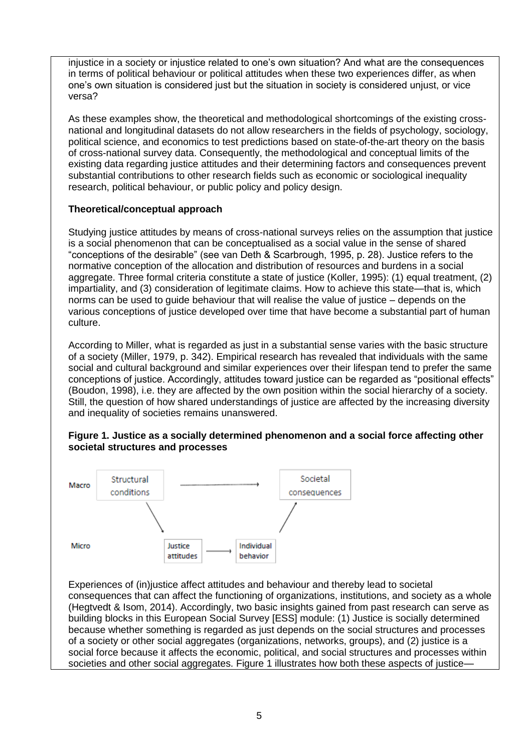injustice in a society or injustice related to one's own situation? And what are the consequences in terms of political behaviour or political attitudes when these two experiences differ, as when one's own situation is considered just but the situation in society is considered unjust, or vice versa?

As these examples show, the theoretical and methodological shortcomings of the existing crossnational and longitudinal datasets do not allow researchers in the fields of psychology, sociology, political science, and economics to test predictions based on state-of-the-art theory on the basis of cross-national survey data. Consequently, the methodological and conceptual limits of the existing data regarding justice attitudes and their determining factors and consequences prevent substantial contributions to other research fields such as economic or sociological inequality research, political behaviour, or public policy and policy design.

# **Theoretical/conceptual approach**

Studying justice attitudes by means of cross-national surveys relies on the assumption that justice is a social phenomenon that can be conceptualised as a social value in the sense of shared "conceptions of the desirable" (see van Deth & Scarbrough, 1995, p. 28). Justice refers to the normative conception of the allocation and distribution of resources and burdens in a social aggregate. Three formal criteria constitute a state of justice (Koller, 1995): (1) equal treatment, (2) impartiality, and (3) consideration of legitimate claims. How to achieve this state—that is, which norms can be used to guide behaviour that will realise the value of justice – depends on the various conceptions of justice developed over time that have become a substantial part of human culture.

According to Miller, what is regarded as just in a substantial sense varies with the basic structure of a society (Miller, 1979, p. 342). Empirical research has revealed that individuals with the same social and cultural background and similar experiences over their lifespan tend to prefer the same conceptions of justice. Accordingly, attitudes toward justice can be regarded as "positional effects" (Boudon, 1998), i.e. they are affected by the own position within the social hierarchy of a society. Still, the question of how shared understandings of justice are affected by the increasing diversity and inequality of societies remains unanswered.



# **Figure 1. Justice as a socially determined phenomenon and a social force affecting other societal structures and processes**

Experiences of (in)justice affect attitudes and behaviour and thereby lead to societal consequences that can affect the functioning of organizations, institutions, and society as a whole (Hegtvedt & Isom, 2014). Accordingly, two basic insights gained from past research can serve as building blocks in this European Social Survey [ESS] module: (1) Justice is socially determined because whether something is regarded as just depends on the social structures and processes of a society or other social aggregates (organizations, networks, groups), and (2) justice is a social force because it affects the economic, political, and social structures and processes within societies and other social aggregates. Figure 1 illustrates how both these aspects of justice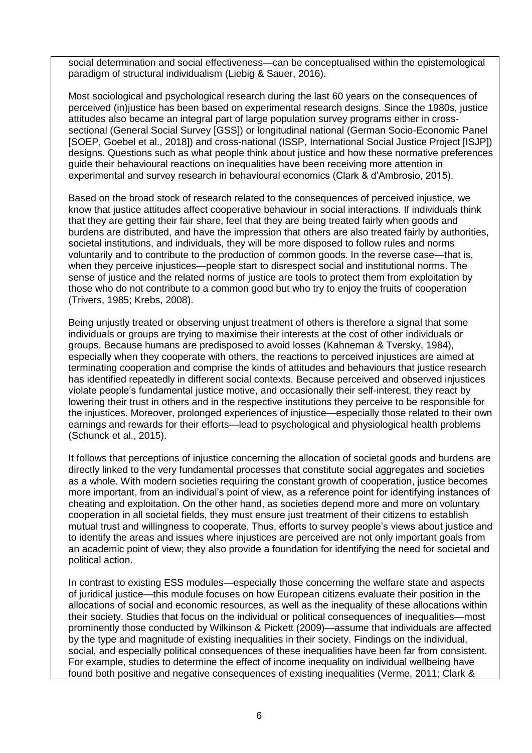social determination and social effectiveness—can be conceptualised within the epistemological paradigm of structural individualism (Liebig & Sauer, 2016).

Most sociological and psychological research during the last 60 years on the consequences of perceived (in)justice has been based on experimental research designs. Since the 1980s, justice attitudes also became an integral part of large population survey programs either in crosssectional (General Social Survey [GSS]) or longitudinal national (German Socio-Economic Panel [SOEP, Goebel et al., 2018]) and cross-national (ISSP, International Social Justice Project [ISJP]) designs. Questions such as what people think about justice and how these normative preferences guide their behavioural reactions on inequalities have been receiving more attention in experimental and survey research in behavioural economics (Clark & d'Ambrosio, 2015).

Based on the broad stock of research related to the consequences of perceived injustice, we know that justice attitudes affect cooperative behaviour in social interactions. If individuals think that they are getting their fair share, feel that they are being treated fairly when goods and burdens are distributed, and have the impression that others are also treated fairly by authorities, societal institutions, and individuals, they will be more disposed to follow rules and norms voluntarily and to contribute to the production of common goods. In the reverse case—that is, when they perceive injustices—people start to disrespect social and institutional norms. The sense of justice and the related norms of justice are tools to protect them from exploitation by those who do not contribute to a common good but who try to enjoy the fruits of cooperation (Trivers, 1985; Krebs, 2008).

Being unjustly treated or observing unjust treatment of others is therefore a signal that some individuals or groups are trying to maximise their interests at the cost of other individuals or groups. Because humans are predisposed to avoid losses (Kahneman & Tversky, 1984), especially when they cooperate with others, the reactions to perceived injustices are aimed at terminating cooperation and comprise the kinds of attitudes and behaviours that justice research has identified repeatedly in different social contexts. Because perceived and observed injustices violate people's fundamental justice motive, and occasionally their self-interest, they react by lowering their trust in others and in the respective institutions they perceive to be responsible for the injustices. Moreover, prolonged experiences of injustice—especially those related to their own earnings and rewards for their efforts—lead to psychological and physiological health problems (Schunck et al., 2015).

It follows that perceptions of injustice concerning the allocation of societal goods and burdens are directly linked to the very fundamental processes that constitute social aggregates and societies as a whole. With modern societies requiring the constant growth of cooperation, justice becomes more important, from an individual's point of view, as a reference point for identifying instances of cheating and exploitation. On the other hand, as societies depend more and more on voluntary cooperation in all societal fields, they must ensure just treatment of their citizens to establish mutual trust and willingness to cooperate. Thus, efforts to survey people's views about justice and to identify the areas and issues where injustices are perceived are not only important goals from an academic point of view; they also provide a foundation for identifying the need for societal and political action.

In contrast to existing ESS modules—especially those concerning the welfare state and aspects of juridical justice—this module focuses on how European citizens evaluate their position in the allocations of social and economic resources, as well as the inequality of these allocations within their society. Studies that focus on the individual or political consequences of inequalities—most prominently those conducted by Wilkinson & Pickett (2009)—assume that individuals are affected by the type and magnitude of existing inequalities in their society. Findings on the individual, social, and especially political consequences of these inequalities have been far from consistent. For example, studies to determine the effect of income inequality on individual wellbeing have found both positive and negative consequences of existing inequalities (Verme, 2011; Clark &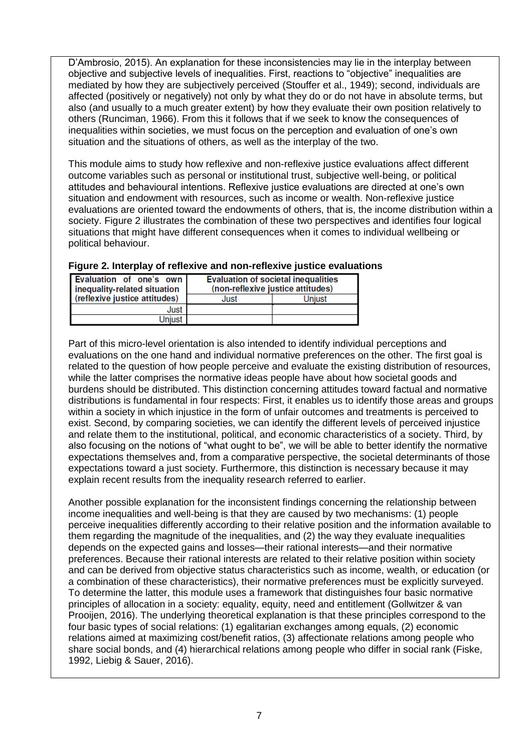D'Ambrosio, 2015). An explanation for these inconsistencies may lie in the interplay between objective and subjective levels of inequalities. First, reactions to "objective" inequalities are mediated by how they are subjectively perceived (Stouffer et al., 1949); second, individuals are affected (positively or negatively) not only by what they do or do not have in absolute terms, but also (and usually to a much greater extent) by how they evaluate their own position relatively to others (Runciman, 1966). From this it follows that if we seek to know the consequences of inequalities within societies, we must focus on the perception and evaluation of one's own situation and the situations of others, as well as the interplay of the two.

This module aims to study how reflexive and non-reflexive justice evaluations affect different outcome variables such as personal or institutional trust, subjective well-being, or political attitudes and behavioural intentions. Reflexive justice evaluations are directed at one's own situation and endowment with resources, such as income or wealth. Non-reflexive justice evaluations are oriented toward the endowments of others, that is, the income distribution within a society. Figure 2 illustrates the combination of these two perspectives and identifies four logical situations that might have different consequences when it comes to individual wellbeing or political behaviour.

| Evaluation of one's own<br>inequality-related situation |      | <b>Evaluation of societal inequalities</b><br>(non-reflexive justice attitudes) |
|---------------------------------------------------------|------|---------------------------------------------------------------------------------|
| (reflexive justice attitudes)                           | Just | Uniust                                                                          |
| Just                                                    |      |                                                                                 |
| Uniust                                                  |      |                                                                                 |

# **Figure 2. Interplay of reflexive and non-reflexive justice evaluations**

Part of this micro-level orientation is also intended to identify individual perceptions and evaluations on the one hand and individual normative preferences on the other. The first goal is related to the question of how people perceive and evaluate the existing distribution of resources, while the latter comprises the normative ideas people have about how societal goods and burdens should be distributed. This distinction concerning attitudes toward factual and normative distributions is fundamental in four respects: First, it enables us to identify those areas and groups within a society in which injustice in the form of unfair outcomes and treatments is perceived to exist. Second, by comparing societies, we can identify the different levels of perceived injustice and relate them to the institutional, political, and economic characteristics of a society. Third, by also focusing on the notions of "what ought to be", we will be able to better identify the normative expectations themselves and, from a comparative perspective, the societal determinants of those expectations toward a just society. Furthermore, this distinction is necessary because it may explain recent results from the inequality research referred to earlier.

Another possible explanation for the inconsistent findings concerning the relationship between income inequalities and well-being is that they are caused by two mechanisms: (1) people perceive inequalities differently according to their relative position and the information available to them regarding the magnitude of the inequalities, and (2) the way they evaluate inequalities depends on the expected gains and losses—their rational interests—and their normative preferences. Because their rational interests are related to their relative position within society and can be derived from objective status characteristics such as income, wealth, or education (or a combination of these characteristics), their normative preferences must be explicitly surveyed. To determine the latter, this module uses a framework that distinguishes four basic normative principles of allocation in a society: equality, equity, need and entitlement (Gollwitzer & van Prooijen, 2016). The underlying theoretical explanation is that these principles correspond to the four basic types of social relations: (1) egalitarian exchanges among equals, (2) economic relations aimed at maximizing cost/benefit ratios, (3) affectionate relations among people who share social bonds, and (4) hierarchical relations among people who differ in social rank (Fiske, 1992, Liebig & Sauer, 2016).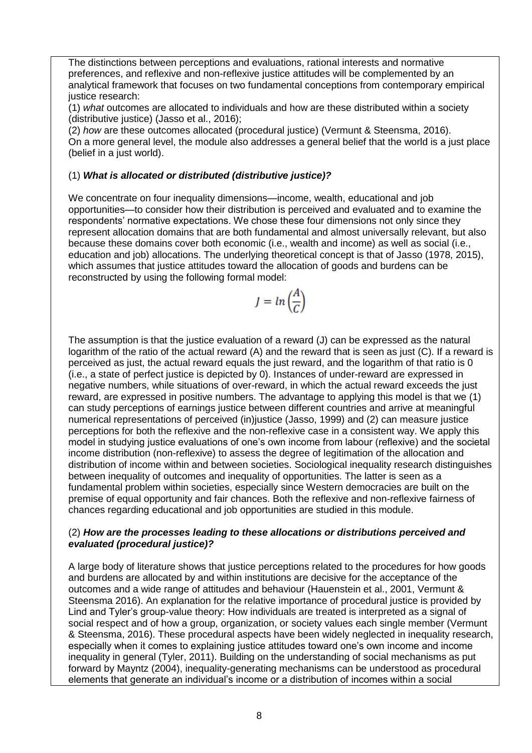The distinctions between perceptions and evaluations, rational interests and normative preferences, and reflexive and non-reflexive justice attitudes will be complemented by an analytical framework that focuses on two fundamental conceptions from contemporary empirical justice research:

(1) *what* outcomes are allocated to individuals and how are these distributed within a society (distributive justice) (Jasso et al., 2016);

(2) *how* are these outcomes allocated (procedural justice) (Vermunt & Steensma, 2016). On a more general level, the module also addresses a general belief that the world is a just place (belief in a just world).

# (1) *What is allocated or distributed (distributive justice)?*

We concentrate on four inequality dimensions—income, wealth, educational and job opportunities—to consider how their distribution is perceived and evaluated and to examine the respondents' normative expectations. We chose these four dimensions not only since they represent allocation domains that are both fundamental and almost universally relevant, but also because these domains cover both economic (i.e., wealth and income) as well as social (i.e., education and job) allocations. The underlying theoretical concept is that of Jasso (1978, 2015), which assumes that justice attitudes toward the allocation of goods and burdens can be reconstructed by using the following formal model:

$$
J = \ln\left(\frac{A}{C}\right)
$$

The assumption is that the justice evaluation of a reward (J) can be expressed as the natural logarithm of the ratio of the actual reward (A) and the reward that is seen as just (C). If a reward is perceived as just, the actual reward equals the just reward, and the logarithm of that ratio is 0 (i.e., a state of perfect justice is depicted by 0). Instances of under-reward are expressed in negative numbers, while situations of over-reward, in which the actual reward exceeds the just reward, are expressed in positive numbers. The advantage to applying this model is that we (1) can study perceptions of earnings justice between different countries and arrive at meaningful numerical representations of perceived (in)justice (Jasso, 1999) and (2) can measure justice perceptions for both the reflexive and the non-reflexive case in a consistent way. We apply this model in studying justice evaluations of one's own income from labour (reflexive) and the societal income distribution (non-reflexive) to assess the degree of legitimation of the allocation and distribution of income within and between societies. Sociological inequality research distinguishes between inequality of outcomes and inequality of opportunities. The latter is seen as a fundamental problem within societies, especially since Western democracies are built on the premise of equal opportunity and fair chances. Both the reflexive and non-reflexive fairness of chances regarding educational and job opportunities are studied in this module.

## (2) *How are the processes leading to these allocations or distributions perceived and evaluated (procedural justice)?*

A large body of literature shows that justice perceptions related to the procedures for how goods and burdens are allocated by and within institutions are decisive for the acceptance of the outcomes and a wide range of attitudes and behaviour (Hauenstein et al., 2001, Vermunt & Steensma 2016). An explanation for the relative importance of procedural justice is provided by Lind and Tyler's group-value theory: How individuals are treated is interpreted as a signal of social respect and of how a group, organization, or society values each single member (Vermunt & Steensma, 2016). These procedural aspects have been widely neglected in inequality research, especially when it comes to explaining justice attitudes toward one's own income and income inequality in general (Tyler, 2011). Building on the understanding of social mechanisms as put forward by Mayntz (2004), inequality-generating mechanisms can be understood as procedural elements that generate an individual's income or a distribution of incomes within a social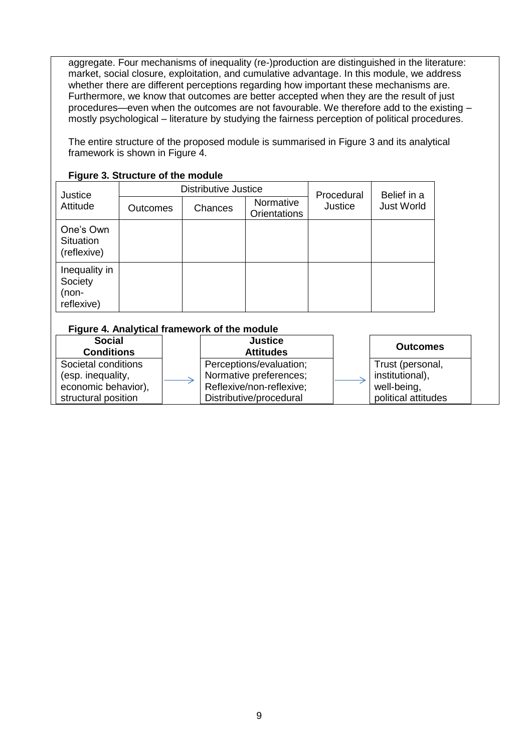aggregate. Four mechanisms of inequality (re-)production are distinguished in the literature: market, social closure, exploitation, and cumulative advantage. In this module, we address whether there are different perceptions regarding how important these mechanisms are. Furthermore, we know that outcomes are better accepted when they are the result of just procedures—even when the outcomes are not favourable. We therefore add to the existing – mostly psychological – literature by studying the fairness perception of political procedures.

The entire structure of the proposed module is summarised in Figure 3 and its analytical framework is shown in Figure 4.

| .                                               |                             |         |                                  |            |                   |
|-------------------------------------------------|-----------------------------|---------|----------------------------------|------------|-------------------|
| Justice                                         | <b>Distributive Justice</b> |         |                                  | Procedural | Belief in a       |
| Attitude                                        | <b>Outcomes</b>             | Chances | Normative<br><b>Orientations</b> | Justice    | <b>Just World</b> |
| One's Own<br><b>Situation</b><br>(reflexive)    |                             |         |                                  |            |                   |
| Inequality in<br>Society<br>(non-<br>reflexive) |                             |         |                                  |            |                   |

## **Figure 3. Structure of the module**

#### **Figure 4. Analytical framework of the module**

| <b>Social</b><br><b>Conditions</b> | <b>Justice</b><br><b>Attitudes</b> | <b>Outcomes</b>     |
|------------------------------------|------------------------------------|---------------------|
| Societal conditions                | Perceptions/evaluation;            | Trust (personal,    |
| (esp. inequality,                  | Normative preferences;             | institutional),     |
| economic behavior),                | Reflexive/non-reflexive;           | well-being,         |
| structural position                | Distributive/procedural            | political attitudes |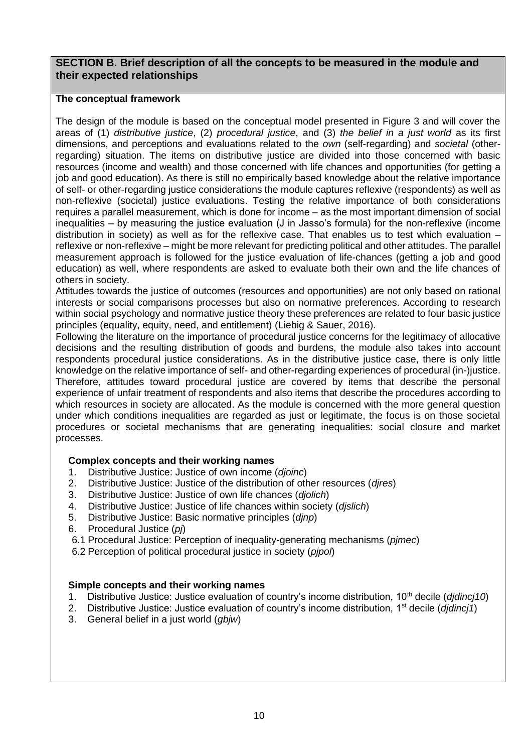# <span id="page-9-0"></span>**SECTION B. Brief description of all the concepts to be measured in the module and their expected relationships**

#### **The conceptual framework**

The design of the module is based on the conceptual model presented in Figure 3 and will cover the areas of (1) *distributive justice*, (2) *procedural justice*, and (3) *the belief in a just world* as its first dimensions, and perceptions and evaluations related to the *own* (self-regarding) and *societal* (otherregarding) situation. The items on distributive justice are divided into those concerned with basic resources (income and wealth) and those concerned with life chances and opportunities (for getting a job and good education). As there is still no empirically based knowledge about the relative importance of self- or other-regarding justice considerations the module captures reflexive (respondents) as well as non-reflexive (societal) justice evaluations. Testing the relative importance of both considerations requires a parallel measurement, which is done for income – as the most important dimension of social inequalities – by measuring the justice evaluation (J in Jasso's formula) for the non-reflexive (income distribution in society) as well as for the reflexive case. That enables us to test which evaluation – reflexive or non-reflexive – might be more relevant for predicting political and other attitudes. The parallel measurement approach is followed for the justice evaluation of life-chances (getting a job and good education) as well, where respondents are asked to evaluate both their own and the life chances of others in society.

Attitudes towards the justice of outcomes (resources and opportunities) are not only based on rational interests or social comparisons processes but also on normative preferences. According to research within social psychology and normative justice theory these preferences are related to four basic justice principles (equality, equity, need, and entitlement) (Liebig & Sauer, 2016).

Following the literature on the importance of procedural justice concerns for the legitimacy of allocative decisions and the resulting distribution of goods and burdens, the module also takes into account respondents procedural justice considerations. As in the distributive justice case, there is only little knowledge on the relative importance of self- and other-regarding experiences of procedural (in-)justice. Therefore, attitudes toward procedural justice are covered by items that describe the personal experience of unfair treatment of respondents and also items that describe the procedures according to which resources in society are allocated. As the module is concerned with the more general question under which conditions inequalities are regarded as just or legitimate, the focus is on those societal procedures or societal mechanisms that are generating inequalities: social closure and market processes.

## **Complex concepts and their working names**

- 1. Distributive Justice: Justice of own income (*djoinc*)
- 2. Distributive Justice: Justice of the distribution of other resources (*djres*)
- 3. Distributive Justice: Justice of own life chances (*djolich*)
- 4. Distributive Justice: Justice of life chances within society (*djslich*)
- 5. Distributive Justice: Basic normative principles (*djnp*)
- 6. Procedural Justice (*pj*)
- 6.1 Procedural Justice: Perception of inequality-generating mechanisms (*pjmec*)
- 6.2 Perception of political procedural justice in society (*pjpol*)

#### **Simple concepts and their working names**

- 1. Distributive Justice: Justice evaluation of country's income distribution, 10th decile (*djdincj10*)
- 2. Distributive Justice: Justice evaluation of country's income distribution, 1st decile (*djdincj1*)
- 3. General belief in a just world (*gbjw*)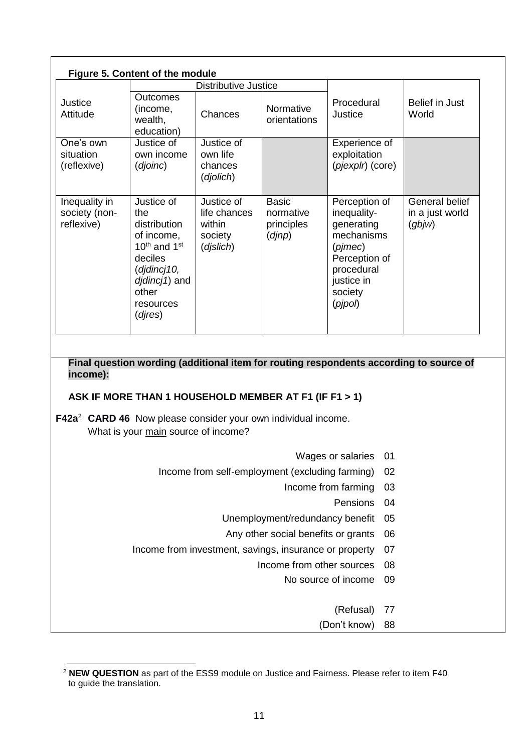| Figure 5. Content of the module<br><b>Distributive Justice</b> |                                                                                                                                                                           |                                                              |                                                        |                                                                                                                                                                         |                                                                                        |  |
|----------------------------------------------------------------|---------------------------------------------------------------------------------------------------------------------------------------------------------------------------|--------------------------------------------------------------|--------------------------------------------------------|-------------------------------------------------------------------------------------------------------------------------------------------------------------------------|----------------------------------------------------------------------------------------|--|
| Justice<br>Attitude                                            | Outcomes<br>(income,<br>wealth,<br>education)                                                                                                                             | Chances                                                      | Normative<br>orientations                              | Procedural<br>Justice                                                                                                                                                   | <b>Belief in Just</b><br>World                                                         |  |
| One's own<br>situation<br>(reflexive)                          | Justice of<br>own income<br>(djoinc)                                                                                                                                      | Justice of<br>own life<br>chances<br>(djolich)               |                                                        | Experience of<br>exploitation<br>(pjexplr) (core)                                                                                                                       |                                                                                        |  |
| Inequality in<br>society (non-<br>reflexive)                   | Justice of<br>the<br>distribution<br>of income,<br>$10^{th}$ and $1^{st}$<br>deciles<br>(djdincj10,<br>djdincj1) and<br>other<br>resources<br>(djres)                     | Justice of<br>life chances<br>within<br>society<br>(djslich) | <b>Basic</b><br>normative<br>principles<br>(dinp)      | Perception of<br>inequality-<br>generating<br>mechanisms<br>$(p \text{j} \text{m} \text{e} \text{c})$<br>Perception of<br>procedural<br>justice in<br>society<br>(pipo) | General belief<br>in a just world<br>(gbyw)                                            |  |
| income):                                                       |                                                                                                                                                                           |                                                              |                                                        |                                                                                                                                                                         | Final question wording (additional item for routing respondents according to source of |  |
|                                                                | ASK IF MORE THAN 1 HOUSEHOLD MEMBER AT F1 (IF F1 > 1)<br>F42a <sup>2</sup> CARD 46 Now please consider your own individual income.<br>What is your main source of income? |                                                              |                                                        |                                                                                                                                                                         |                                                                                        |  |
|                                                                |                                                                                                                                                                           |                                                              |                                                        |                                                                                                                                                                         |                                                                                        |  |
|                                                                |                                                                                                                                                                           |                                                              | Income from self-employment (excluding farming)        | Wages or salaries                                                                                                                                                       | 01<br>02                                                                               |  |
|                                                                |                                                                                                                                                                           |                                                              |                                                        | Income from farming                                                                                                                                                     | 03                                                                                     |  |
|                                                                |                                                                                                                                                                           |                                                              |                                                        | Pensions                                                                                                                                                                | 04                                                                                     |  |
|                                                                |                                                                                                                                                                           |                                                              | Unemployment/redundancy benefit                        |                                                                                                                                                                         | 05                                                                                     |  |
|                                                                |                                                                                                                                                                           |                                                              | Any other social benefits or grants                    |                                                                                                                                                                         | 06                                                                                     |  |
|                                                                |                                                                                                                                                                           |                                                              | Income from investment, savings, insurance or property |                                                                                                                                                                         | 07                                                                                     |  |
|                                                                |                                                                                                                                                                           |                                                              | Income from other sources                              |                                                                                                                                                                         | 08                                                                                     |  |
|                                                                |                                                                                                                                                                           |                                                              |                                                        | No source of income                                                                                                                                                     | 09                                                                                     |  |
|                                                                |                                                                                                                                                                           |                                                              |                                                        | (Refusal)                                                                                                                                                               | 77                                                                                     |  |

<sup>-</sup><sup>2</sup> **NEW QUESTION** as part of the ESS9 module on Justice and Fairness. Please refer to item F40 to guide the translation.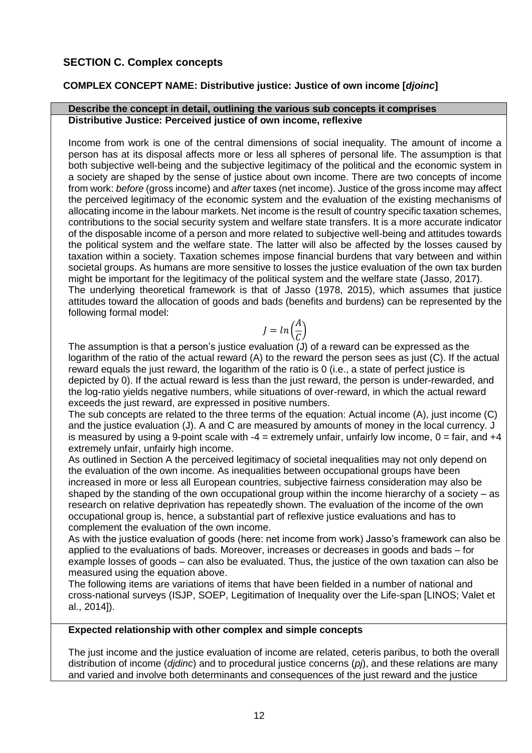# <span id="page-11-0"></span>**SECTION C. Complex concepts**

# <span id="page-11-1"></span>**COMPLEX CONCEPT NAME: Distributive justice: Justice of own income [***djoinc***]**

#### **Describe the concept in detail, outlining the various sub concepts it comprises Distributive Justice: Perceived justice of own income, reflexive**

Income from work is one of the central dimensions of social inequality. The amount of income a person has at its disposal affects more or less all spheres of personal life. The assumption is that both subjective well-being and the subjective legitimacy of the political and the economic system in a society are shaped by the sense of justice about own income. There are two concepts of income from work: *before* (gross income) and *after* taxes (net income). Justice of the gross income may affect the perceived legitimacy of the economic system and the evaluation of the existing mechanisms of allocating income in the labour markets. Net income is the result of country specific taxation schemes, contributions to the social security system and welfare state transfers. It is a more accurate indicator of the disposable income of a person and more related to subjective well-being and attitudes towards the political system and the welfare state. The latter will also be affected by the losses caused by taxation within a society. Taxation schemes impose financial burdens that vary between and within societal groups. As humans are more sensitive to losses the justice evaluation of the own tax burden might be important for the legitimacy of the political system and the welfare state (Jasso, 2017). The underlying theoretical framework is that of Jasso (1978, 2015), which assumes that justice attitudes toward the allocation of goods and bads (benefits and burdens) can be represented by the following formal model:

$$
J = \ln\left(\frac{A}{C}\right)
$$

The assumption is that a person's justice evaluation (J) of a reward can be expressed as the logarithm of the ratio of the actual reward (A) to the reward the person sees as just (C). If the actual reward equals the just reward, the logarithm of the ratio is 0 (i.e., a state of perfect justice is depicted by 0). If the actual reward is less than the just reward, the person is under-rewarded, and the log-ratio yields negative numbers, while situations of over-reward, in which the actual reward exceeds the just reward, are expressed in positive numbers.

The sub concepts are related to the three terms of the equation: Actual income (A), just income (C) and the justice evaluation (J). A and C are measured by amounts of money in the local currency. J is measured by using a 9-point scale with  $-4$  = extremely unfair, unfairly low income,  $0 = \text{fair}$ , and  $+4$ extremely unfair, unfairly high income.

As outlined in Section A the perceived legitimacy of societal inequalities may not only depend on the evaluation of the own income. As inequalities between occupational groups have been increased in more or less all European countries, subjective fairness consideration may also be shaped by the standing of the own occupational group within the income hierarchy of a society – as research on relative deprivation has repeatedly shown. The evaluation of the income of the own occupational group is, hence, a substantial part of reflexive justice evaluations and has to complement the evaluation of the own income.

As with the justice evaluation of goods (here: net income from work) Jasso's framework can also be applied to the evaluations of bads. Moreover, increases or decreases in goods and bads – for example losses of goods – can also be evaluated. Thus, the justice of the own taxation can also be measured using the equation above.

The following items are variations of items that have been fielded in a number of national and cross-national surveys (ISJP, SOEP, Legitimation of Inequality over the Life-span [LINOS; Valet et al., 2014]).

#### **Expected relationship with other complex and simple concepts**

The just income and the justice evaluation of income are related, ceteris paribus, to both the overall distribution of income (*djdinc*) and to procedural justice concerns (*pj*), and these relations are many and varied and involve both determinants and consequences of the just reward and the justice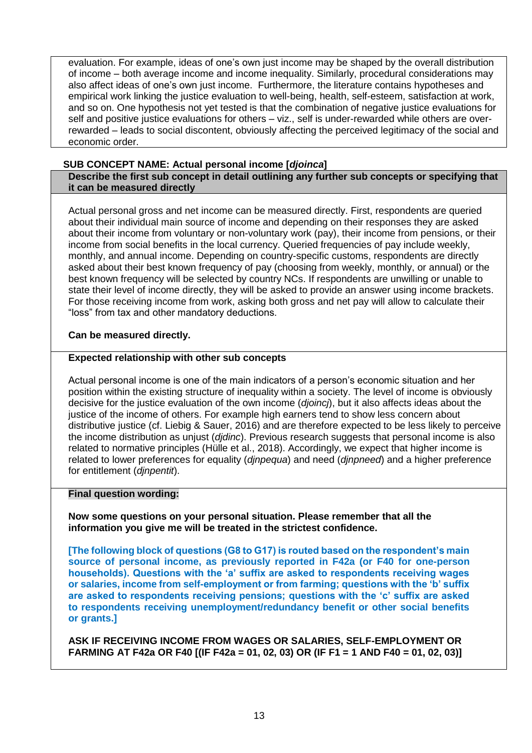evaluation. For example, ideas of one's own just income may be shaped by the overall distribution of income – both average income and income inequality. Similarly, procedural considerations may also affect ideas of one's own just income. Furthermore, the literature contains hypotheses and empirical work linking the justice evaluation to well-being, health, self-esteem, satisfaction at work, and so on. One hypothesis not yet tested is that the combination of negative justice evaluations for self and positive justice evaluations for others – viz., self is under-rewarded while others are overrewarded – leads to social discontent, obviously affecting the perceived legitimacy of the social and economic order.

#### <span id="page-12-0"></span>**SUB CONCEPT NAME: Actual personal income [***djoinca***]**

**Describe the first sub concept in detail outlining any further sub concepts or specifying that it can be measured directly**

Actual personal gross and net income can be measured directly. First, respondents are queried about their individual main source of income and depending on their responses they are asked about their income from voluntary or non-voluntary work (pay), their income from pensions, or their income from social benefits in the local currency. Queried frequencies of pay include weekly, monthly, and annual income. Depending on country-specific customs, respondents are directly asked about their best known frequency of pay (choosing from weekly, monthly, or annual) or the best known frequency will be selected by country NCs. If respondents are unwilling or unable to state their level of income directly, they will be asked to provide an answer using income brackets. For those receiving income from work, asking both gross and net pay will allow to calculate their "loss" from tax and other mandatory deductions.

#### **Can be measured directly.**

#### **Expected relationship with other sub concepts**

Actual personal income is one of the main indicators of a person's economic situation and her position within the existing structure of inequality within a society. The level of income is obviously decisive for the justice evaluation of the own income (*djoincj*), but it also affects ideas about the justice of the income of others. For example high earners tend to show less concern about distributive justice (cf. Liebig & Sauer, 2016) and are therefore expected to be less likely to perceive the income distribution as unjust (*djdinc*). Previous research suggests that personal income is also related to normative principles (Hülle et al., 2018). Accordingly, we expect that higher income is related to lower preferences for equality (*djnpequa*) and need (*djnpneed*) and a higher preference for entitlement (*djnpentit*).

#### **Final question wording:**

**Now some questions on your personal situation. Please remember that all the information you give me will be treated in the strictest confidence.**

**[The following block of questions (G8 to G17) is routed based on the respondent's main source of personal income, as previously reported in F42a (or F40 for one-person households). Questions with the 'a' suffix are asked to respondents receiving wages or salaries, income from self-employment or from farming; questions with the 'b' suffix are asked to respondents receiving pensions; questions with the 'c' suffix are asked to respondents receiving unemployment/redundancy benefit or other social benefits or grants.]**

**ASK IF RECEIVING INCOME FROM WAGES OR SALARIES, SELF-EMPLOYMENT OR FARMING AT F42a OR F40 [(IF F42a = 01, 02, 03) OR (IF F1 = 1 AND F40 = 01, 02, 03)]**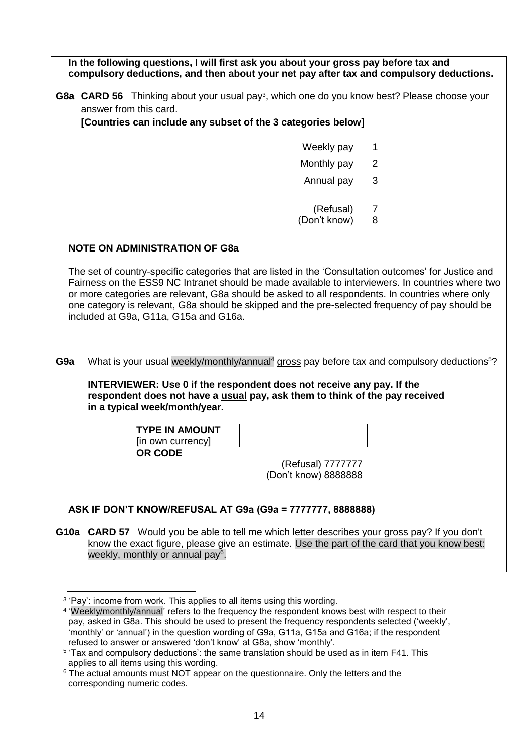|                 | In the following questions, I will first ask you about your gross pay before tax and<br>compulsory deductions, and then about your net pay after tax and compulsory deductions.                                                                                                                                                                                                                                                                            |                                           |   |  |  |  |
|-----------------|------------------------------------------------------------------------------------------------------------------------------------------------------------------------------------------------------------------------------------------------------------------------------------------------------------------------------------------------------------------------------------------------------------------------------------------------------------|-------------------------------------------|---|--|--|--|
|                 | G8a CARD 56 Thinking about your usual pay <sup>3</sup> , which one do you know best? Please choose your<br>answer from this card.                                                                                                                                                                                                                                                                                                                          |                                           |   |  |  |  |
|                 | [Countries can include any subset of the 3 categories below]                                                                                                                                                                                                                                                                                                                                                                                               |                                           |   |  |  |  |
|                 |                                                                                                                                                                                                                                                                                                                                                                                                                                                            | Weekly pay                                | 1 |  |  |  |
|                 |                                                                                                                                                                                                                                                                                                                                                                                                                                                            | Monthly pay                               | 2 |  |  |  |
|                 |                                                                                                                                                                                                                                                                                                                                                                                                                                                            | Annual pay                                | 3 |  |  |  |
|                 |                                                                                                                                                                                                                                                                                                                                                                                                                                                            |                                           |   |  |  |  |
|                 |                                                                                                                                                                                                                                                                                                                                                                                                                                                            | (Refusal)                                 | 7 |  |  |  |
|                 |                                                                                                                                                                                                                                                                                                                                                                                                                                                            | (Don't know)                              | 8 |  |  |  |
|                 | <b>NOTE ON ADMINISTRATION OF G8a</b>                                                                                                                                                                                                                                                                                                                                                                                                                       |                                           |   |  |  |  |
|                 |                                                                                                                                                                                                                                                                                                                                                                                                                                                            |                                           |   |  |  |  |
|                 | The set of country-specific categories that are listed in the 'Consultation outcomes' for Justice and<br>Fairness on the ESS9 NC Intranet should be made available to interviewers. In countries where two<br>or more categories are relevant, G8a should be asked to all respondents. In countries where only<br>one category is relevant, G8a should be skipped and the pre-selected frequency of pay should be<br>included at G9a, G11a, G15a and G16a. |                                           |   |  |  |  |
| G <sub>9a</sub> | What is your usual weekly/monthly/annual <sup>4</sup> gross pay before tax and compulsory deductions <sup>5</sup> ?                                                                                                                                                                                                                                                                                                                                        |                                           |   |  |  |  |
|                 | <b>INTERVIEWER: Use 0 if the respondent does not receive any pay. If the</b><br>respondent does not have a usual pay, ask them to think of the pay received<br>in a typical week/month/year.                                                                                                                                                                                                                                                               |                                           |   |  |  |  |
|                 | <b>TYPE IN AMOUNT</b>                                                                                                                                                                                                                                                                                                                                                                                                                                      |                                           |   |  |  |  |
|                 | [in own currency]<br>OR CODE                                                                                                                                                                                                                                                                                                                                                                                                                               |                                           |   |  |  |  |
|                 |                                                                                                                                                                                                                                                                                                                                                                                                                                                            | (Refusal) 7777777<br>(Don't know) 8888888 |   |  |  |  |
|                 | ASK IF DON'T KNOW/REFUSAL AT G9a (G9a = 7777777, 8888888)                                                                                                                                                                                                                                                                                                                                                                                                  |                                           |   |  |  |  |
|                 | G10a CARD 57 Would you be able to tell me which letter describes your gross pay? If you don't<br>know the exact figure, please give an estimate. Use the part of the card that you know best:<br>weekly, monthly or annual pay <sup>6</sup> .                                                                                                                                                                                                              |                                           |   |  |  |  |

<sup>&</sup>lt;u>.</u> <sup>3</sup> 'Pay': income from work. This applies to all items using this wording.

<sup>4</sup> 'Weekly/monthly/annual' refers to the frequency the respondent knows best with respect to their pay, asked in G8a. This should be used to present the frequency respondents selected ('weekly', 'monthly' or 'annual') in the question wording of G9a, G11a, G15a and G16a; if the respondent refused to answer or answered 'don't know' at G8a, show 'monthly'.

<sup>&</sup>lt;sup>5</sup> 'Tax and compulsory deductions': the same translation should be used as in item F41. This applies to all items using this wording.

<sup>&</sup>lt;sup>6</sup> The actual amounts must NOT appear on the questionnaire. Only the letters and the corresponding numeric codes.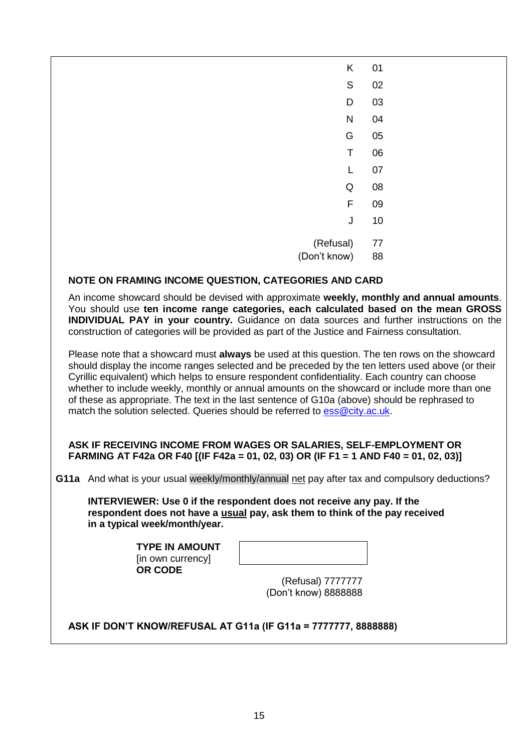| K                                                                                                                                                                                 | 01 |  |
|-----------------------------------------------------------------------------------------------------------------------------------------------------------------------------------|----|--|
| S                                                                                                                                                                                 | 02 |  |
| D                                                                                                                                                                                 | 03 |  |
| N                                                                                                                                                                                 | 04 |  |
| G                                                                                                                                                                                 | 05 |  |
| Т                                                                                                                                                                                 | 06 |  |
|                                                                                                                                                                                   | 07 |  |
| Q                                                                                                                                                                                 | 08 |  |
| F                                                                                                                                                                                 | 09 |  |
| J                                                                                                                                                                                 | 10 |  |
| (Refusal)                                                                                                                                                                         | 77 |  |
| (Don't know)                                                                                                                                                                      | 88 |  |
| NOTE ON FRAMING INCOME QUESTION, CATEGORIES AND CARD                                                                                                                              |    |  |
| An income showcard should be devised with approximate weekly, monthly and annual amounts.<br>Vou should use tan income ronge cotogration, sook coloulated becad on the mean CDOSS |    |  |

You should use **ten income range categories, each calculated based on the mean GROSS INDIVIDUAL PAY in your country.** Guidance on data sources and further instructions on the construction of categories will be provided as part of the Justice and Fairness consultation.

Please note that a showcard must **always** be used at this question. The ten rows on the showcard should display the income ranges selected and be preceded by the ten letters used above (or their Cyrillic equivalent) which helps to ensure respondent confidentiality. Each country can choose whether to include weekly, monthly or annual amounts on the showcard or include more than one of these as appropriate. The text in the last sentence of G10a (above) should be rephrased to match the solution selected. Queries should be referred to [ess@city.ac.uk.](mailto:ess@city.ac.uk)

## **ASK IF RECEIVING INCOME FROM WAGES OR SALARIES, SELF-EMPLOYMENT OR FARMING AT F42a OR F40 [(IF F42a = 01, 02, 03) OR (IF F1 = 1 AND F40 = 01, 02, 03)]**

**G11a** And what is your usual weekly/monthly/annual net pay after tax and compulsory deductions?

**INTERVIEWER: Use 0 if the respondent does not receive any pay. If the respondent does not have a usual pay, ask them to think of the pay received in a typical week/month/year.**

> **TYPE IN AMOUNT** [in own currency] **OR CODE**

(Refusal) 7777777 (Don't know) 8888888

**ASK IF DON'T KNOW/REFUSAL AT G11a (IF G11a = 7777777, 8888888)**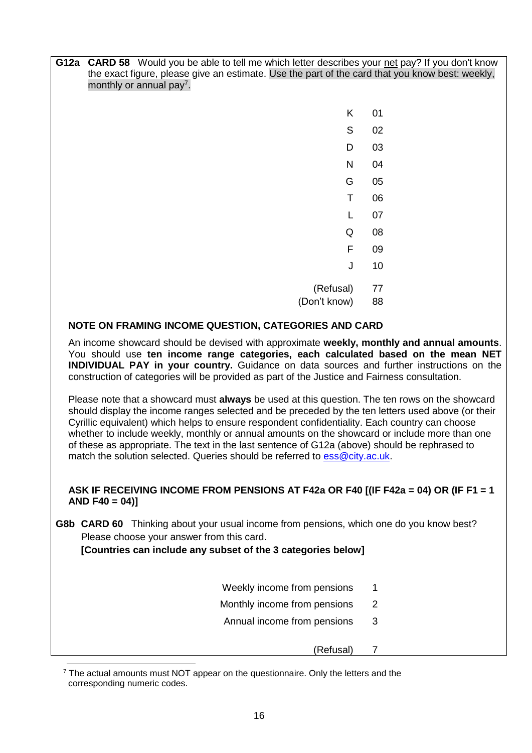**G12a CARD 58** Would you be able to tell me which letter describes your net pay? If you don't know the exact figure, please give an estimate. Use the part of the card that you know best: weekly, monthly or annual pay<sup>7</sup>.

| Κ            | 01 |
|--------------|----|
| S            | 02 |
| D            | 03 |
| N            | 04 |
| G            | 05 |
| Τ            | 06 |
| L            | 07 |
| Q            | 08 |
| F            | 09 |
| J            | 10 |
| (Refusal)    | 77 |
| (Don't know) | 88 |

# **NOTE ON FRAMING INCOME QUESTION, CATEGORIES AND CARD**

An income showcard should be devised with approximate **weekly, monthly and annual amounts**. You should use **ten income range categories, each calculated based on the mean NET INDIVIDUAL PAY in your country.** Guidance on data sources and further instructions on the construction of categories will be provided as part of the Justice and Fairness consultation.

Please note that a showcard must **always** be used at this question. The ten rows on the showcard should display the income ranges selected and be preceded by the ten letters used above (or their Cyrillic equivalent) which helps to ensure respondent confidentiality. Each country can choose whether to include weekly, monthly or annual amounts on the showcard or include more than one of these as appropriate. The text in the last sentence of G12a (above) should be rephrased to match the solution selected. Queries should be referred to [ess@city.ac.uk.](mailto:ess@city.ac.uk)

## **ASK IF RECEIVING INCOME FROM PENSIONS AT F42a OR F40 [(IF F42a = 04) OR (IF F1 = 1 AND F40 = 04)]**

**G8b CARD 60** Thinking about your usual income from pensions, which one do you know best? Please choose your answer from this card.

**[Countries can include any subset of the 3 categories below]**

- Weekly income from pensions 1
- Monthly income from pensions 2
- Annual income from pensions 3

(Refusal) 7

-

 $7$  The actual amounts must NOT appear on the questionnaire. Only the letters and the corresponding numeric codes.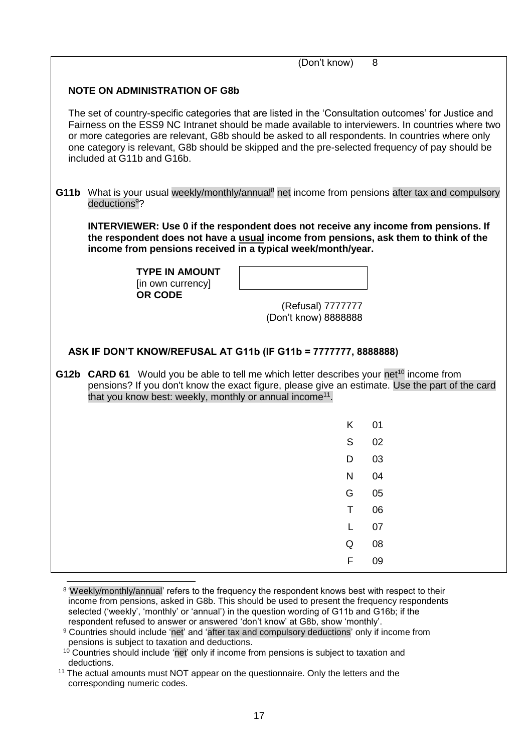|                                      |                                                                                                                                                                                                                                                                                                                                            | (Don't know)                              | 8                                                                                                            |  |  |  |
|--------------------------------------|--------------------------------------------------------------------------------------------------------------------------------------------------------------------------------------------------------------------------------------------------------------------------------------------------------------------------------------------|-------------------------------------------|--------------------------------------------------------------------------------------------------------------|--|--|--|
| <b>NOTE ON ADMINISTRATION OF G8b</b> |                                                                                                                                                                                                                                                                                                                                            |                                           |                                                                                                              |  |  |  |
|                                      | The set of country-specific categories that are listed in the 'Consultation outcomes' for Justice and<br>or more categories are relevant, G8b should be asked to all respondents. In countries where only<br>one category is relevant, G8b should be skipped and the pre-selected frequency of pay should be<br>included at G11b and G16b. |                                           | Fairness on the ESS9 NC Intranet should be made available to interviewers. In countries where two            |  |  |  |
|                                      | deductions <sup>9</sup> ?                                                                                                                                                                                                                                                                                                                  |                                           | G11b What is your usual weekly/monthly/annual <sup>8</sup> net income from pensions after tax and compulsory |  |  |  |
|                                      | <b>INTERVIEWER: Use 0 if the respondent does not receive any income from pensions. If</b><br>the respondent does not have a usual income from pensions, ask them to think of the<br>income from pensions received in a typical week/month/year.                                                                                            |                                           |                                                                                                              |  |  |  |
|                                      | <b>TYPE IN AMOUNT</b><br>[in own currency]<br><b>OR CODE</b>                                                                                                                                                                                                                                                                               |                                           |                                                                                                              |  |  |  |
|                                      |                                                                                                                                                                                                                                                                                                                                            | (Refusal) 7777777<br>(Don't know) 8888888 |                                                                                                              |  |  |  |
|                                      |                                                                                                                                                                                                                                                                                                                                            |                                           |                                                                                                              |  |  |  |
|                                      | ASK IF DON'T KNOW/REFUSAL AT G11b (IF G11b = 7777777, 8888888)                                                                                                                                                                                                                                                                             |                                           |                                                                                                              |  |  |  |
|                                      | G12b CARD 61 Would you be able to tell me which letter describes your net <sup>10</sup> income from<br>that you know best: weekly, monthly or annual income <sup>11</sup> .                                                                                                                                                                |                                           | pensions? If you don't know the exact figure, please give an estimate. Use the part of the card              |  |  |  |
|                                      |                                                                                                                                                                                                                                                                                                                                            | ĸ.                                        | 01                                                                                                           |  |  |  |
|                                      |                                                                                                                                                                                                                                                                                                                                            | S                                         | 02                                                                                                           |  |  |  |
|                                      |                                                                                                                                                                                                                                                                                                                                            | D                                         | 03                                                                                                           |  |  |  |
|                                      |                                                                                                                                                                                                                                                                                                                                            | N                                         | 04                                                                                                           |  |  |  |
|                                      |                                                                                                                                                                                                                                                                                                                                            | G                                         | 05                                                                                                           |  |  |  |
|                                      |                                                                                                                                                                                                                                                                                                                                            | T                                         | 06                                                                                                           |  |  |  |
|                                      |                                                                                                                                                                                                                                                                                                                                            | $\mathbf{L}$                              | 07                                                                                                           |  |  |  |
|                                      |                                                                                                                                                                                                                                                                                                                                            | Q                                         | 08                                                                                                           |  |  |  |
|                                      |                                                                                                                                                                                                                                                                                                                                            | F                                         | 09                                                                                                           |  |  |  |

Weekly/monthly/annual' refers to the frequency the respondent knows best with respect to their<br>a iveral respect to their income from pensions, asked in G8b. This should be used to present the frequency respondents selected ('weekly', 'monthly' or 'annual') in the question wording of G11b and G16b; if the respondent refused to answer or answered 'don't know' at G8b, show 'monthly'.

<sup>&</sup>lt;sup>9</sup> Countries should include 'net' and 'after tax and compulsory deductions' only if income from pensions is subject to taxation and deductions.

<sup>&</sup>lt;sup>10</sup> Countries should include 'net' only if income from pensions is subject to taxation and deductions.

<sup>&</sup>lt;sup>11</sup> The actual amounts must NOT appear on the questionnaire. Only the letters and the corresponding numeric codes.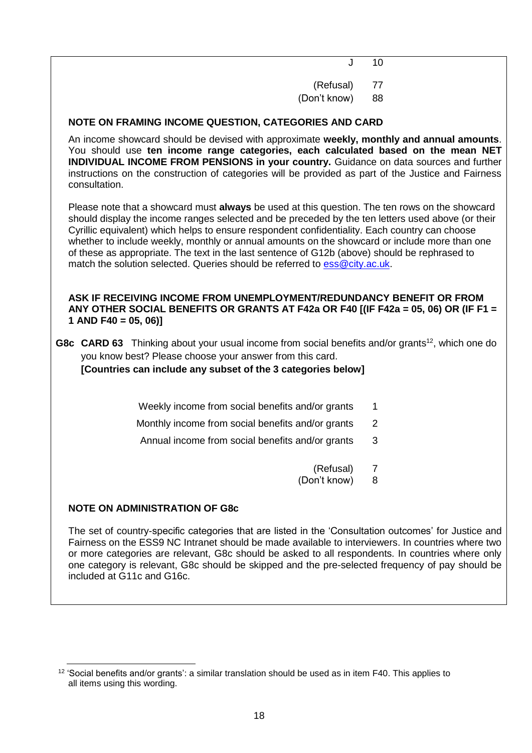$J = 10$ 

(Refusal) 77 (Don't know) 88

# **NOTE ON FRAMING INCOME QUESTION, CATEGORIES AND CARD**

An income showcard should be devised with approximate **weekly, monthly and annual amounts**. You should use **ten income range categories, each calculated based on the mean NET INDIVIDUAL INCOME FROM PENSIONS in your country.** Guidance on data sources and further instructions on the construction of categories will be provided as part of the Justice and Fairness consultation.

Please note that a showcard must **always** be used at this question. The ten rows on the showcard should display the income ranges selected and be preceded by the ten letters used above (or their Cyrillic equivalent) which helps to ensure respondent confidentiality. Each country can choose whether to include weekly, monthly or annual amounts on the showcard or include more than one of these as appropriate. The text in the last sentence of G12b (above) should be rephrased to match the solution selected. Queries should be referred to [ess@city.ac.uk.](mailto:ess@city.ac.uk)

#### **ASK IF RECEIVING INCOME FROM UNEMPLOYMENT/REDUNDANCY BENEFIT OR FROM ANY OTHER SOCIAL BENEFITS OR GRANTS AT F42a OR F40 [(IF F42a = 05, 06) OR (IF F1 = 1 AND F40 = 05, 06)]**

**G8c CARD 63** Thinking about your usual income from social benefits and/or grants<sup>12</sup>, which one do you know best? Please choose your answer from this card.

**[Countries can include any subset of the 3 categories below]**

Weekly income from social benefits and/or grants 1

- Monthly income from social benefits and/or grants 2
- Annual income from social benefits and/or grants 3

(Refusal) 7 (Don't know) 8

## **NOTE ON ADMINISTRATION OF G8c**

-

The set of country-specific categories that are listed in the 'Consultation outcomes' for Justice and Fairness on the ESS9 NC Intranet should be made available to interviewers. In countries where two or more categories are relevant, G8c should be asked to all respondents. In countries where only one category is relevant, G8c should be skipped and the pre-selected frequency of pay should be included at G11c and G16c.

<sup>&</sup>lt;sup>12</sup> 'Social benefits and/or grants': a similar translation should be used as in item F40. This applies to all items using this wording.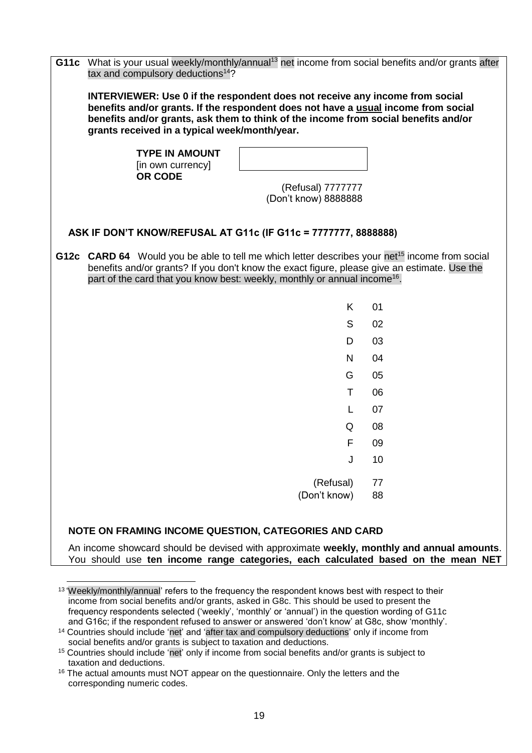| <b>INTERVIEWER: Use 0 if the respondent does not receive any income from social</b><br>benefits and/or grants. If the respondent does not have a usual income from social<br>benefits and/or grants, ask them to think of the income from social benefits and/or<br>grants received in a typical week/month/year.<br><b>TYPE IN AMOUNT</b> |  |  |  |  |  |
|--------------------------------------------------------------------------------------------------------------------------------------------------------------------------------------------------------------------------------------------------------------------------------------------------------------------------------------------|--|--|--|--|--|
|                                                                                                                                                                                                                                                                                                                                            |  |  |  |  |  |
| [in own currency]<br>OR CODE                                                                                                                                                                                                                                                                                                               |  |  |  |  |  |
| (Refusal) 7777777<br>(Don't know) 8888888                                                                                                                                                                                                                                                                                                  |  |  |  |  |  |
| ASK IF DON'T KNOW/REFUSAL AT G11c (IF G11c = 7777777, 8888888)                                                                                                                                                                                                                                                                             |  |  |  |  |  |
| G12c CARD 64 Would you be able to tell me which letter describes your net <sup>15</sup> income from social<br>benefits and/or grants? If you don't know the exact figure, please give an estimate. Use the<br>part of the card that you know best: weekly, monthly or annual income <sup>16</sup> .                                        |  |  |  |  |  |
| K.<br>01                                                                                                                                                                                                                                                                                                                                   |  |  |  |  |  |
| S<br>02                                                                                                                                                                                                                                                                                                                                    |  |  |  |  |  |
| 03<br>D                                                                                                                                                                                                                                                                                                                                    |  |  |  |  |  |
| N<br>04                                                                                                                                                                                                                                                                                                                                    |  |  |  |  |  |
| 05<br>G                                                                                                                                                                                                                                                                                                                                    |  |  |  |  |  |
| 06<br>T.                                                                                                                                                                                                                                                                                                                                   |  |  |  |  |  |
| 07<br>L                                                                                                                                                                                                                                                                                                                                    |  |  |  |  |  |
| 08<br>Q                                                                                                                                                                                                                                                                                                                                    |  |  |  |  |  |
| F<br>09                                                                                                                                                                                                                                                                                                                                    |  |  |  |  |  |
| J<br>10                                                                                                                                                                                                                                                                                                                                    |  |  |  |  |  |
| (Refusal)<br>77                                                                                                                                                                                                                                                                                                                            |  |  |  |  |  |
| (Don't know)<br>88                                                                                                                                                                                                                                                                                                                         |  |  |  |  |  |
|                                                                                                                                                                                                                                                                                                                                            |  |  |  |  |  |
| NOTE ON FRAMING INCOME QUESTION, CATEGORIES AND CARD                                                                                                                                                                                                                                                                                       |  |  |  |  |  |

An income showcard should be devised with approximate **weekly, monthly and annual amounts**. You should use **ten income range categories, each calculated based on the mean NET** 

 $\overline{a}$ <sup>13</sup> 'Weekly/monthly/annual' refers to the frequency the respondent knows best with respect to their income from social benefits and/or grants, asked in G8c. This should be used to present the frequency respondents selected ('weekly', 'monthly' or 'annual') in the question wording of G11c and G16c; if the respondent refused to answer or answered 'don't know' at G8c, show 'monthly'. <sup>14</sup> Countries should include 'net' and 'after tax and compulsory deductions' only if income from

social benefits and/or grants is subject to taxation and deductions.

<sup>15</sup> Countries should include 'net' only if income from social benefits and/or grants is subject to taxation and deductions.

<sup>&</sup>lt;sup>16</sup> The actual amounts must NOT appear on the questionnaire. Only the letters and the corresponding numeric codes.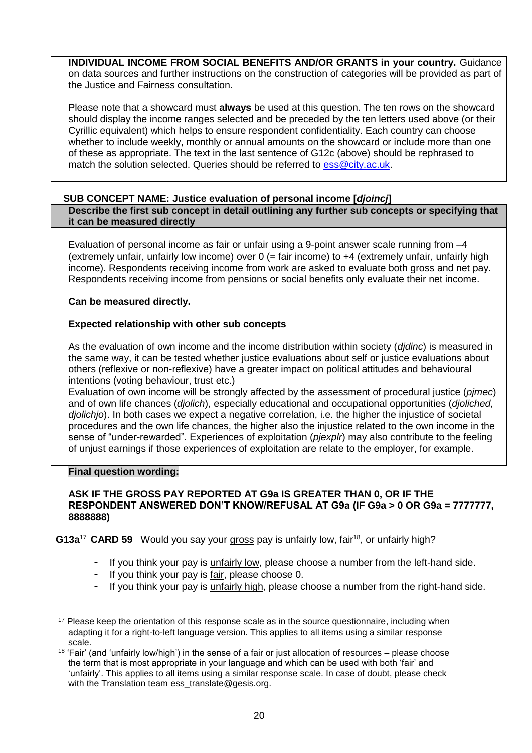**INDIVIDUAL INCOME FROM SOCIAL BENEFITS AND/OR GRANTS in your country.** Guidance on data sources and further instructions on the construction of categories will be provided as part of the Justice and Fairness consultation.

Please note that a showcard must **always** be used at this question. The ten rows on the showcard should display the income ranges selected and be preceded by the ten letters used above (or their Cyrillic equivalent) which helps to ensure respondent confidentiality. Each country can choose whether to include weekly, monthly or annual amounts on the showcard or include more than one of these as appropriate. The text in the last sentence of G12c (above) should be rephrased to match the solution selected. Queries should be referred to [ess@city.ac.uk.](mailto:ess@city.ac.uk)

## <span id="page-19-0"></span>**SUB CONCEPT NAME: Justice evaluation of personal income [***djoincj***]**

**Describe the first sub concept in detail outlining any further sub concepts or specifying that it can be measured directly**

Evaluation of personal income as fair or unfair using a 9-point answer scale running from –4 (extremely unfair, unfairly low income) over 0 (= fair income) to +4 (extremely unfair, unfairly high income). Respondents receiving income from work are asked to evaluate both gross and net pay. Respondents receiving income from pensions or social benefits only evaluate their net income.

**Can be measured directly.**

## **Expected relationship with other sub concepts**

As the evaluation of own income and the income distribution within society (*djdinc*) is measured in the same way, it can be tested whether justice evaluations about self or justice evaluations about others (reflexive or non-reflexive) have a greater impact on political attitudes and behavioural intentions (voting behaviour, trust etc.)

Evaluation of own income will be strongly affected by the assessment of procedural justice (*pjmec*) and of own life chances (*djolich*), especially educational and occupational opportunities (*djoliched, djolichjo*). In both cases we expect a negative correlation, i.e. the higher the injustice of societal procedures and the own life chances, the higher also the injustice related to the own income in the sense of "under-rewarded". Experiences of exploitation (*pjexplr*) may also contribute to the feeling of unjust earnings if those experiences of exploitation are relate to the employer, for example.

#### **Final question wording:**

#### **ASK IF THE GROSS PAY REPORTED AT G9a IS GREATER THAN 0, OR IF THE RESPONDENT ANSWERED DON'T KNOW/REFUSAL AT G9a (IF G9a > 0 OR G9a = 7777777, 8888888)**

**G13a<sup>17</sup> CARD 59** Would you say your gross pay is unfairly low, fair<sup>18</sup>, or unfairly high?

- If you think your pay is unfairly low, please choose a number from the left-hand side.
- If you think your pay is fair, please choose 0.
- If you think your pay is unfairly high, please choose a number from the right-hand side.

<sup>&</sup>lt;u>.</u> <sup>17</sup> Please keep the orientation of this response scale as in the source questionnaire, including when adapting it for a right-to-left language version. This applies to all items using a similar response scale.

<sup>&</sup>lt;sup>18</sup> 'Fair' (and 'unfairly low/high') in the sense of a fair or just allocation of resources – please choose the term that is most appropriate in your language and which can be used with both 'fair' and 'unfairly'. This applies to all items using a similar response scale. In case of doubt, please check with the Translation team [ess\\_translate@gesis.org.](mailto:ess_translate@gesis.org)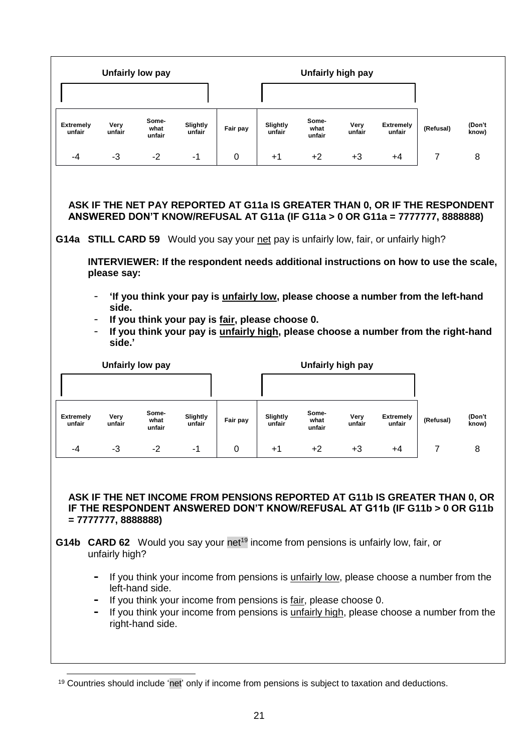|                            |                                        | <b>Unfairly low pay</b> |                    |                                                 |                    | Unfairly high pay       |                   |                                                                                                                                                                                                                                                                                                                                                                                                                                                    |                |                 |
|----------------------------|----------------------------------------|-------------------------|--------------------|-------------------------------------------------|--------------------|-------------------------|-------------------|----------------------------------------------------------------------------------------------------------------------------------------------------------------------------------------------------------------------------------------------------------------------------------------------------------------------------------------------------------------------------------------------------------------------------------------------------|----------------|-----------------|
|                            |                                        |                         |                    |                                                 |                    |                         |                   |                                                                                                                                                                                                                                                                                                                                                                                                                                                    |                |                 |
| <b>Extremely</b><br>unfair | Very<br>unfair                         | Some-<br>what<br>unfair | Slightly<br>unfair | Fair pay                                        | Slightly<br>unfair | Some-<br>what<br>unfair | Very<br>unfair    | <b>Extremely</b><br>unfair                                                                                                                                                                                                                                                                                                                                                                                                                         | (Refusal)      | (Don't<br>know) |
| -4                         | $-3$                                   | $-2$                    | -1                 | 0                                               | $+1$               | $+2$                    | $+3$              | +4                                                                                                                                                                                                                                                                                                                                                                                                                                                 | $\overline{7}$ | 8               |
| $\overline{\phantom{a}}$   | please say:<br>side.<br>side.'         |                         |                    | If you think your pay is fair, please choose 0. |                    |                         |                   | ANSWERED DON'T KNOW/REFUSAL AT G11a (IF G11a > 0 OR G11a = 7777777, 8888888)<br>G14a STILL CARD 59 Would you say your net pay is unfairly low, fair, or unfairly high?<br>INTERVIEWER: If the respondent needs additional instructions on how to use the scale,<br>'If you think your pay is <i>unfairly low</i> , please choose a number from the left-hand<br>If you think your pay is unfairly high, please choose a number from the right-hand |                |                 |
|                            |                                        | <b>Unfairly low pay</b> |                    |                                                 |                    |                         | Unfairly high pay |                                                                                                                                                                                                                                                                                                                                                                                                                                                    |                |                 |
|                            |                                        |                         |                    |                                                 |                    |                         |                   |                                                                                                                                                                                                                                                                                                                                                                                                                                                    |                |                 |
| <b>Extremely</b><br>unfair | Very<br>unfair                         | Some-<br>what<br>unfair | Slightly<br>unfair | Fair pay                                        | Slightly<br>unfair | Some-<br>what<br>unfair | Very<br>unfair    | <b>Extremely</b><br>unfair                                                                                                                                                                                                                                                                                                                                                                                                                         | (Refusal)      | (Don't<br>know) |
| -4                         | -3                                     | -2                      | -1                 | 0                                               | +1                 | $+2$                    | +3                | +4                                                                                                                                                                                                                                                                                                                                                                                                                                                 | 7              | 8               |
|                            | $= 7777777, 8888888$<br>unfairly high? |                         |                    |                                                 |                    |                         |                   | ASK IF THE NET INCOME FROM PENSIONS REPORTED AT G11b IS GREATER THAN 0, OR<br>IF THE RESPONDENT ANSWERED DON'T KNOW/REFUSAL AT G11b (IF G11b > 0 OR G11b<br>G14b CARD 62 Would you say your net <sup>19</sup> income from pensions is unfairly low, fair, or                                                                                                                                                                                       |                |                 |

- **-** If you think your income from pensions is unfairly low, please choose a number from the left-hand side.
- **-** If you think your income from pensions is fair, please choose 0.
- **-** If you think your income from pensions is unfairly high, please choose a number from the right-hand side.

<sup>&</sup>lt;u>.</u> <sup>19</sup> Countries should include 'net' only if income from pensions is subject to taxation and deductions.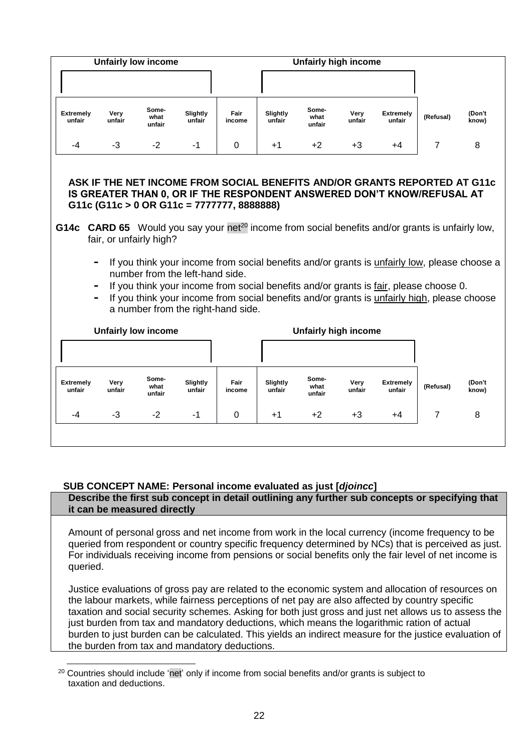|                            | <b>Unfairly low income</b>                                                                                                                                                                                                                                                                                                                                                                                                                                                                                                                                                                                                                                                                                                                                        |                         |                    |                |                    | <b>Unfairly high income</b> |                |                            |                |                 |  |  |  |  |
|----------------------------|-------------------------------------------------------------------------------------------------------------------------------------------------------------------------------------------------------------------------------------------------------------------------------------------------------------------------------------------------------------------------------------------------------------------------------------------------------------------------------------------------------------------------------------------------------------------------------------------------------------------------------------------------------------------------------------------------------------------------------------------------------------------|-------------------------|--------------------|----------------|--------------------|-----------------------------|----------------|----------------------------|----------------|-----------------|--|--|--|--|
|                            |                                                                                                                                                                                                                                                                                                                                                                                                                                                                                                                                                                                                                                                                                                                                                                   |                         |                    |                |                    |                             |                |                            |                |                 |  |  |  |  |
| <b>Extremely</b><br>unfair | Very<br>unfair                                                                                                                                                                                                                                                                                                                                                                                                                                                                                                                                                                                                                                                                                                                                                    | Some-<br>what<br>unfair | Slightly<br>unfair | Fair<br>income | Slightly<br>unfair | Some-<br>what<br>unfair     | Very<br>unfair | <b>Extremely</b><br>unfair | (Refusal)      | (Don't<br>know) |  |  |  |  |
| -4                         | $-3$                                                                                                                                                                                                                                                                                                                                                                                                                                                                                                                                                                                                                                                                                                                                                              | $-2$                    | -1                 | $\Omega$       | $+1$               | $+2$                        | $+3$           | +4                         | $\overline{7}$ | 8               |  |  |  |  |
| G14c                       | ASK IF THE NET INCOME FROM SOCIAL BENEFITS AND/OR GRANTS REPORTED AT G11c<br>IS GREATER THAN 0, OR IF THE RESPONDENT ANSWERED DON'T KNOW/REFUSAL AT<br>G11c (G11c > 0 OR G11c = 7777777, 8888888)<br><b>CARD 65</b> Would you say your net <sup>20</sup> income from social benefits and/or grants is unfairly low,<br>fair, or unfairly high?<br>If you think your income from social benefits and/or grants is unfairly low, please choose a<br>$\qquad \qquad \blacksquare$<br>number from the left-hand side.<br>If you think your income from social benefits and/or grants is fair, please choose 0.<br>$\blacksquare$<br>If you think your income from social benefits and/or grants is unfairly high, please choose<br>a number from the right-hand side. |                         |                    |                |                    |                             |                |                            |                |                 |  |  |  |  |
|                            | <b>Unfairly low income</b>                                                                                                                                                                                                                                                                                                                                                                                                                                                                                                                                                                                                                                                                                                                                        |                         |                    |                |                    | <b>Unfairly high income</b> |                |                            |                |                 |  |  |  |  |
|                            |                                                                                                                                                                                                                                                                                                                                                                                                                                                                                                                                                                                                                                                                                                                                                                   |                         |                    |                |                    |                             |                |                            |                |                 |  |  |  |  |
| <b>Extremely</b><br>unfair | Very<br>unfair                                                                                                                                                                                                                                                                                                                                                                                                                                                                                                                                                                                                                                                                                                                                                    | Some-<br>what<br>unfair | Slightly<br>unfair | Fair<br>income | Slightly<br>unfair | Some-<br>what<br>unfair     | Very<br>unfair | <b>Extremely</b><br>unfair | (Refusal)      | (Don't<br>know) |  |  |  |  |
| -4                         | $-3$                                                                                                                                                                                                                                                                                                                                                                                                                                                                                                                                                                                                                                                                                                                                                              | $-2$                    | $-1$               | $\Omega$       | $+1$               | $+2$                        | $+3$           | $+4$                       | $\overline{7}$ | 8               |  |  |  |  |
|                            |                                                                                                                                                                                                                                                                                                                                                                                                                                                                                                                                                                                                                                                                                                                                                                   |                         |                    |                |                    |                             |                |                            |                |                 |  |  |  |  |

# <span id="page-21-0"></span>**SUB CONCEPT NAME: Personal income evaluated as just [***djoincc***]**

# **Describe the first sub concept in detail outlining any further sub concepts or specifying that it can be measured directly**

Amount of personal gross and net income from work in the local currency (income frequency to be queried from respondent or country specific frequency determined by NCs) that is perceived as just. For individuals receiving income from pensions or social benefits only the fair level of net income is queried.

Justice evaluations of gross pay are related to the economic system and allocation of resources on the labour markets, while fairness perceptions of net pay are also affected by country specific taxation and social security schemes. Asking for both just gross and just net allows us to assess the just burden from tax and mandatory deductions, which means the logarithmic ration of actual burden to just burden can be calculated. This yields an indirect measure for the justice evaluation of the burden from tax and mandatory deductions.

<sup>-</sup><sup>20</sup> Countries should include 'net' only if income from social benefits and/or grants is subject to taxation and deductions.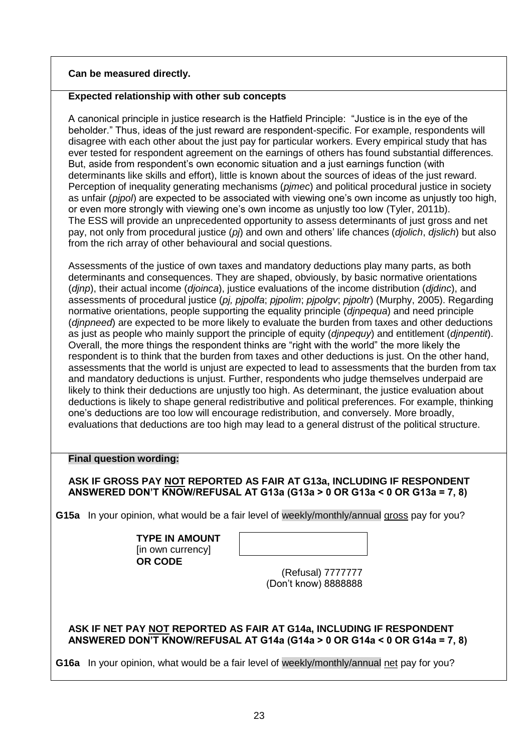# **Can be measured directly.**

## **Expected relationship with other sub concepts**

A canonical principle in justice research is the Hatfield Principle: "Justice is in the eye of the beholder." Thus, ideas of the just reward are respondent-specific. For example, respondents will disagree with each other about the just pay for particular workers. Every empirical study that has ever tested for respondent agreement on the earnings of others has found substantial differences. But, aside from respondent's own economic situation and a just earnings function (with determinants like skills and effort), little is known about the sources of ideas of the just reward. Perception of inequality generating mechanisms (*pjmec*) and political procedural justice in society as unfair (*pjpol*) are expected to be associated with viewing one's own income as unjustly too high, or even more strongly with viewing one's own income as unjustly too low (Tyler, 2011b). The ESS will provide an unprecedented opportunity to assess determinants of just gross and net pay, not only from procedural justice (*pj*) and own and others' life chances (*djolich*, *djslich*) but also from the rich array of other behavioural and social questions.

Assessments of the justice of own taxes and mandatory deductions play many parts, as both determinants and consequences. They are shaped, obviously, by basic normative orientations (*djnp*), their actual income (*djoinca*), justice evaluations of the income distribution (*djdinc*), and assessments of procedural justice (*pj, pjpolfa*; *pjpolim*; *pjpolgv*; *pjpoltr*) (Murphy, 2005). Regarding normative orientations, people supporting the equality principle (*djnpequa*) and need principle (*djnpneed*) are expected to be more likely to evaluate the burden from taxes and other deductions as just as people who mainly support the principle of equity (*djnpequy*) and entitlement (*djnpentit*). Overall, the more things the respondent thinks are "right with the world" the more likely the respondent is to think that the burden from taxes and other deductions is just. On the other hand, assessments that the world is unjust are expected to lead to assessments that the burden from tax and mandatory deductions is unjust. Further, respondents who judge themselves underpaid are likely to think their deductions are unjustly too high. As determinant, the justice evaluation about deductions is likely to shape general redistributive and political preferences. For example, thinking one's deductions are too low will encourage redistribution, and conversely. More broadly, evaluations that deductions are too high may lead to a general distrust of the political structure.

## **Final question wording:**

**ASK IF GROSS PAY NOT REPORTED AS FAIR AT G13a, INCLUDING IF RESPONDENT ANSWERED DON'T KNOW/REFUSAL AT G13a (G13a > 0 OR G13a < 0 OR G13a = 7, 8)**

**G15a** In your opinion, what would be a fair level of weekly/monthly/annual gross pay for you?

**TYPE IN AMOUNT** [in own currency] **OR CODE**

(Refusal) 7777777 (Don't know) 8888888

## **ASK IF NET PAY NOT REPORTED AS FAIR AT G14a, INCLUDING IF RESPONDENT ANSWERED DON'T KNOW/REFUSAL AT G14a (G14a > 0 OR G14a < 0 OR G14a = 7, 8)**

**G16a** In your opinion, what would be a fair level of weekly/monthly/annual net pay for you?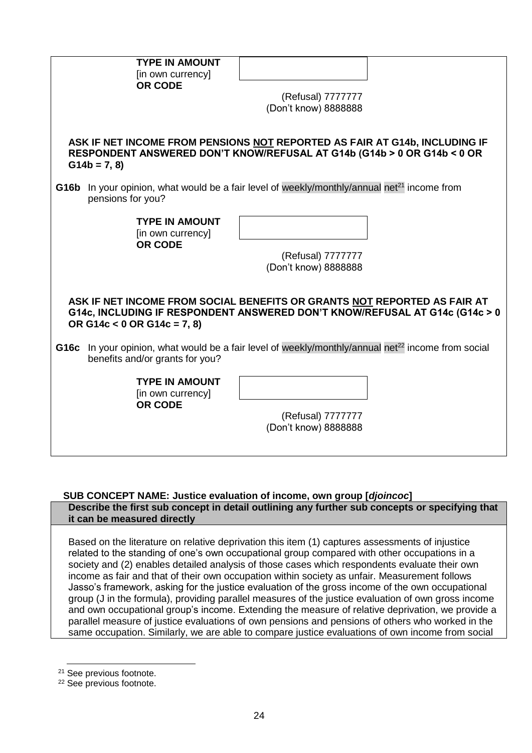| <b>TYPE IN AMOUNT</b><br>[in own currency]<br><b>OR CODE</b> | (Refusal) 7777777                                                                                                                                                                                                                                                    |
|--------------------------------------------------------------|----------------------------------------------------------------------------------------------------------------------------------------------------------------------------------------------------------------------------------------------------------------------|
|                                                              | (Don't know) 8888888                                                                                                                                                                                                                                                 |
| $G14b = 7, 8$                                                | ASK IF NET INCOME FROM PENSIONS NOT REPORTED AS FAIR AT G14b, INCLUDING IF<br>RESPONDENT ANSWERED DON'T KNOW/REFUSAL AT G14b (G14b > 0 OR G14b < 0 OR                                                                                                                |
| G16b<br>pensions for you?                                    | In your opinion, what would be a fair level of weekly/monthly/annual net <sup>21</sup> income from                                                                                                                                                                   |
| <b>TYPE IN AMOUNT</b><br>[in own currency]<br><b>OR CODE</b> |                                                                                                                                                                                                                                                                      |
|                                                              | (Refusal) 7777777<br>(Don't know) 8888888                                                                                                                                                                                                                            |
| OR G14c < $0$ OR G14c = 7, 8)<br>G16c                        | ASK IF NET INCOME FROM SOCIAL BENEFITS OR GRANTS NOT REPORTED AS FAIR AT<br>G14c, INCLUDING IF RESPONDENT ANSWERED DON'T KNOW/REFUSAL AT G14c (G14c > 0<br>In your opinion, what would be a fair level of weekly/monthly/annual net <sup>22</sup> income from social |
| benefits and/or grants for you?                              |                                                                                                                                                                                                                                                                      |
| <b>TYPE IN AMOUNT</b><br>[in own currency]<br><b>OR CODE</b> | (Refusal) 7777777<br>(Don't know) 8888888                                                                                                                                                                                                                            |

#### <span id="page-23-0"></span>**SUB CONCEPT NAME: Justice evaluation of income, own group [***djoincoc***] Describe the first sub concept in detail outlining any further sub concepts or specifying that it can be measured directly**

Based on the literature on relative deprivation this item (1) captures assessments of injustice related to the standing of one's own occupational group compared with other occupations in a society and (2) enables detailed analysis of those cases which respondents evaluate their own income as fair and that of their own occupation within society as unfair. Measurement follows Jasso's framework, asking for the justice evaluation of the gross income of the own occupational group (J in the formula), providing parallel measures of the justice evaluation of own gross income and own occupational group's income. Extending the measure of relative deprivation, we provide a parallel measure of justice evaluations of own pensions and pensions of others who worked in the same occupation. Similarly, we are able to compare justice evaluations of own income from social

-

<sup>21</sup> See previous footnote.

<sup>22</sup> See previous footnote.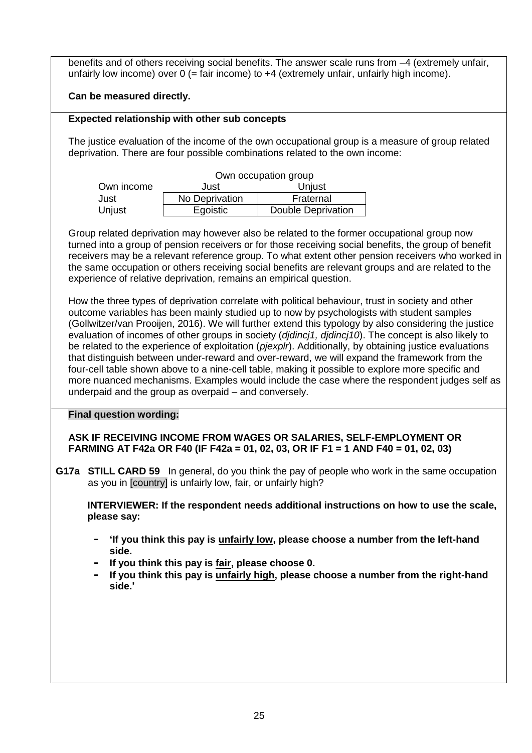| benefits and of others receiving social benefits. The answer scale runs from -4 (extremely unfair,<br>unfairly low income) over $0$ (= fair income) to $+4$ (extremely unfair, unfairly high income).                                                                                                                                                                                                                                                                                                                                                                                                                                                                                                                                                                                                                                                                                                                                                                                                                                                                                                                                                                                                                                                                              |  |  |  |  |  |  |  |  |  |  |  |
|------------------------------------------------------------------------------------------------------------------------------------------------------------------------------------------------------------------------------------------------------------------------------------------------------------------------------------------------------------------------------------------------------------------------------------------------------------------------------------------------------------------------------------------------------------------------------------------------------------------------------------------------------------------------------------------------------------------------------------------------------------------------------------------------------------------------------------------------------------------------------------------------------------------------------------------------------------------------------------------------------------------------------------------------------------------------------------------------------------------------------------------------------------------------------------------------------------------------------------------------------------------------------------|--|--|--|--|--|--|--|--|--|--|--|
| Can be measured directly.                                                                                                                                                                                                                                                                                                                                                                                                                                                                                                                                                                                                                                                                                                                                                                                                                                                                                                                                                                                                                                                                                                                                                                                                                                                          |  |  |  |  |  |  |  |  |  |  |  |
| <b>Expected relationship with other sub concepts</b>                                                                                                                                                                                                                                                                                                                                                                                                                                                                                                                                                                                                                                                                                                                                                                                                                                                                                                                                                                                                                                                                                                                                                                                                                               |  |  |  |  |  |  |  |  |  |  |  |
| The justice evaluation of the income of the own occupational group is a measure of group related<br>deprivation. There are four possible combinations related to the own income:                                                                                                                                                                                                                                                                                                                                                                                                                                                                                                                                                                                                                                                                                                                                                                                                                                                                                                                                                                                                                                                                                                   |  |  |  |  |  |  |  |  |  |  |  |
| Own occupation group                                                                                                                                                                                                                                                                                                                                                                                                                                                                                                                                                                                                                                                                                                                                                                                                                                                                                                                                                                                                                                                                                                                                                                                                                                                               |  |  |  |  |  |  |  |  |  |  |  |
| Own income<br>Unjust<br>Just                                                                                                                                                                                                                                                                                                                                                                                                                                                                                                                                                                                                                                                                                                                                                                                                                                                                                                                                                                                                                                                                                                                                                                                                                                                       |  |  |  |  |  |  |  |  |  |  |  |
| No Deprivation<br>Fraternal<br>Just                                                                                                                                                                                                                                                                                                                                                                                                                                                                                                                                                                                                                                                                                                                                                                                                                                                                                                                                                                                                                                                                                                                                                                                                                                                |  |  |  |  |  |  |  |  |  |  |  |
| Unjust<br>Egoistic<br><b>Double Deprivation</b>                                                                                                                                                                                                                                                                                                                                                                                                                                                                                                                                                                                                                                                                                                                                                                                                                                                                                                                                                                                                                                                                                                                                                                                                                                    |  |  |  |  |  |  |  |  |  |  |  |
| turned into a group of pension receivers or for those receiving social benefits, the group of benefit<br>receivers may be a relevant reference group. To what extent other pension receivers who worked in<br>the same occupation or others receiving social benefits are relevant groups and are related to the<br>experience of relative deprivation, remains an empirical question.<br>How the three types of deprivation correlate with political behaviour, trust in society and other<br>outcome variables has been mainly studied up to now by psychologists with student samples<br>(Gollwitzer/van Prooijen, 2016). We will further extend this typology by also considering the justice<br>evaluation of incomes of other groups in society (djdincj1, djdincj10). The concept is also likely to<br>be related to the experience of exploitation (pjexplr). Additionally, by obtaining justice evaluations<br>that distinguish between under-reward and over-reward, we will expand the framework from the<br>four-cell table shown above to a nine-cell table, making it possible to explore more specific and<br>more nuanced mechanisms. Examples would include the case where the respondent judges self as<br>underpaid and the group as overpaid - and conversely. |  |  |  |  |  |  |  |  |  |  |  |
| <b>Final question wording:</b><br>ASK IF RECEIVING INCOME FROM WAGES OR SALARIES, SELF-EMPLOYMENT OR<br>FARMING AT F42a OR F40 (IF F42a = 01, 02, 03, OR IF F1 = 1 AND F40 = 01, 02, 03)<br>G17a STILL CARD 59 In general, do you think the pay of people who work in the same occupation<br>as you in [country] is unfairly low, fair, or unfairly high?<br>INTERVIEWER: If the respondent needs additional instructions on how to use the scale,<br>please say:<br>'If you think this pay is unfairly low, please choose a number from the left-hand<br>-<br>side.<br>If you think this pay is fair, please choose 0.<br>٠<br>If you think this pay is unfairly high, please choose a number from the right-hand<br>۰<br>side.'                                                                                                                                                                                                                                                                                                                                                                                                                                                                                                                                                  |  |  |  |  |  |  |  |  |  |  |  |
|                                                                                                                                                                                                                                                                                                                                                                                                                                                                                                                                                                                                                                                                                                                                                                                                                                                                                                                                                                                                                                                                                                                                                                                                                                                                                    |  |  |  |  |  |  |  |  |  |  |  |
|                                                                                                                                                                                                                                                                                                                                                                                                                                                                                                                                                                                                                                                                                                                                                                                                                                                                                                                                                                                                                                                                                                                                                                                                                                                                                    |  |  |  |  |  |  |  |  |  |  |  |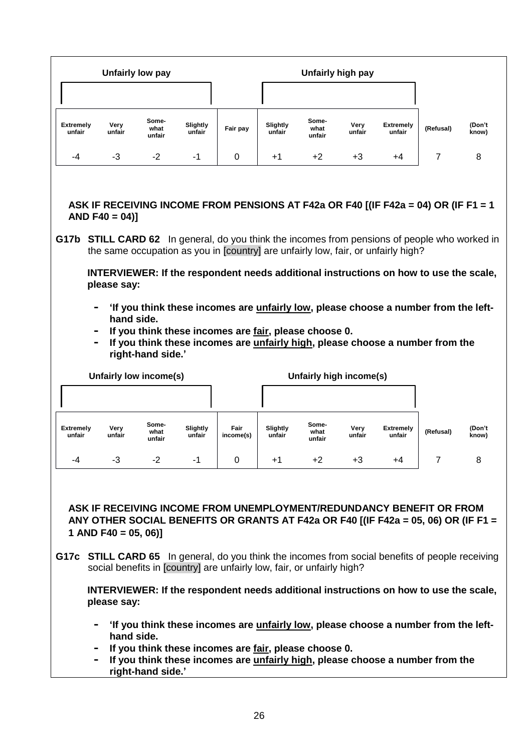|                                                                                                                                                                                                                                                                                                           |                                                   | Unfairly low pay              |                    |                                                                                                                                 |                    |                         | Unfairly high pay |                                                                                                                                                                                                                                                                                                                                                                                                                                                                                                                                 |                |                 |  |  |  |
|-----------------------------------------------------------------------------------------------------------------------------------------------------------------------------------------------------------------------------------------------------------------------------------------------------------|---------------------------------------------------|-------------------------------|--------------------|---------------------------------------------------------------------------------------------------------------------------------|--------------------|-------------------------|-------------------|---------------------------------------------------------------------------------------------------------------------------------------------------------------------------------------------------------------------------------------------------------------------------------------------------------------------------------------------------------------------------------------------------------------------------------------------------------------------------------------------------------------------------------|----------------|-----------------|--|--|--|
|                                                                                                                                                                                                                                                                                                           |                                                   |                               |                    |                                                                                                                                 |                    |                         |                   |                                                                                                                                                                                                                                                                                                                                                                                                                                                                                                                                 |                |                 |  |  |  |
| <b>Extremely</b><br>unfair                                                                                                                                                                                                                                                                                | Very<br>unfair                                    | Some-<br>what<br>unfair       | Slightly<br>unfair | Fair pay                                                                                                                        | Slightly<br>unfair | Some-<br>what<br>unfair | Very<br>unfair    | <b>Extremely</b><br>unfair                                                                                                                                                                                                                                                                                                                                                                                                                                                                                                      | (Refusal)      | (Don't<br>know) |  |  |  |
| -4                                                                                                                                                                                                                                                                                                        | -3                                                | $-2$                          | -1                 | 0                                                                                                                               | $+1$               | $+2$                    | +3                | +4                                                                                                                                                                                                                                                                                                                                                                                                                                                                                                                              | $\overline{7}$ | 8               |  |  |  |
|                                                                                                                                                                                                                                                                                                           | $AND F40 = 04$                                    |                               |                    |                                                                                                                                 |                    |                         |                   | ASK IF RECEIVING INCOME FROM PENSIONS AT F42a OR F40 [(IF F42a = 04) OR (IF F1 = 1<br>G17b STILL CARD 62 In general, do you think the incomes from pensions of people who worked in<br>the same occupation as you in [country] are unfairly low, fair, or unfairly high?                                                                                                                                                                                                                                                        |                |                 |  |  |  |
|                                                                                                                                                                                                                                                                                                           |                                                   |                               |                    |                                                                                                                                 |                    |                         |                   | INTERVIEWER: If the respondent needs additional instructions on how to use the scale,                                                                                                                                                                                                                                                                                                                                                                                                                                           |                |                 |  |  |  |
| please say:<br>'If you think these incomes are <i>unfairly low</i> , please choose a number from the left-<br>$\blacksquare$<br>hand side.<br>If you think these incomes are fair, please choose 0.<br>If you think these incomes are unfairly high, please choose a number from the<br>right-hand side.' |                                                   |                               |                    |                                                                                                                                 |                    |                         |                   |                                                                                                                                                                                                                                                                                                                                                                                                                                                                                                                                 |                |                 |  |  |  |
|                                                                                                                                                                                                                                                                                                           |                                                   | <b>Unfairly low income(s)</b> |                    |                                                                                                                                 |                    | Unfairly high income(s) |                   |                                                                                                                                                                                                                                                                                                                                                                                                                                                                                                                                 |                |                 |  |  |  |
|                                                                                                                                                                                                                                                                                                           |                                                   |                               |                    |                                                                                                                                 |                    |                         |                   |                                                                                                                                                                                                                                                                                                                                                                                                                                                                                                                                 |                |                 |  |  |  |
| <b>Extremely</b><br>unfair                                                                                                                                                                                                                                                                                | Very<br>unfair                                    | Some-<br>what<br>unfair       | Slightly<br>unfair | Fair<br>income(s)                                                                                                               | Slightly<br>unfair | Some-<br>what<br>unfair | Very<br>unfair    | <b>Extremely</b><br>unfair                                                                                                                                                                                                                                                                                                                                                                                                                                                                                                      | (Refusal)      | (Don't<br>know) |  |  |  |
| -4                                                                                                                                                                                                                                                                                                        | $-3$                                              | $-2$                          | -1                 | 0                                                                                                                               | +1                 | $+2$                    | +3                | +4                                                                                                                                                                                                                                                                                                                                                                                                                                                                                                                              | 7              | 8               |  |  |  |
| ۰                                                                                                                                                                                                                                                                                                         | 1 AND F40 = 05, 06)]<br>please say:<br>hand side. | right-hand side.'             |                    | social benefits in [country] are unfairly low, fair, or unfairly high?<br>If you think these incomes are fair, please choose 0. |                    |                         |                   | ASK IF RECEIVING INCOME FROM UNEMPLOYMENT/REDUNDANCY BENEFIT OR FROM<br>ANY OTHER SOCIAL BENEFITS OR GRANTS AT F42a OR F40 [(IF F42a = 05, 06) OR (IF F1 =<br>G17c STILL CARD 65 In general, do you think the incomes from social benefits of people receiving<br>INTERVIEWER: If the respondent needs additional instructions on how to use the scale,<br>'If you think these incomes are unfairly low, please choose a number from the left-<br>If you think these incomes are unfairly high, please choose a number from the |                |                 |  |  |  |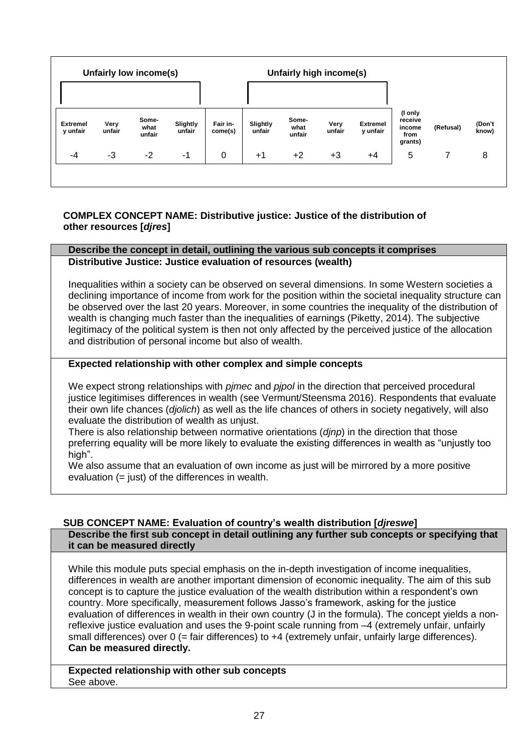|                             | Unfairly low income(s) |                         |                    | Unfairly high income(s) |                    |                         |                |                             |                                                 |           |                 |
|-----------------------------|------------------------|-------------------------|--------------------|-------------------------|--------------------|-------------------------|----------------|-----------------------------|-------------------------------------------------|-----------|-----------------|
|                             |                        |                         |                    |                         |                    |                         |                |                             |                                                 |           |                 |
| <b>Extremel</b><br>y unfair | Very<br>unfair         | Some-<br>what<br>unfair | Slightly<br>unfair | Fair in-<br>come(s)     | Slightly<br>unfair | Some-<br>what<br>unfair | Very<br>unfair | <b>Extremel</b><br>y unfair | (I only<br>receive<br>income<br>from<br>grants) | (Refusal) | (Don't<br>know) |
| -4                          | $-3$                   | $-2$                    | $-1$               | 0                       | $+1$               | $+2$                    | $+3$           | $+4$                        | 5                                               |           | 8               |
|                             |                        |                         |                    |                         |                    |                         |                |                             |                                                 |           |                 |

# <span id="page-26-0"></span>**COMPLEX CONCEPT NAME: Distributive justice: Justice of the distribution of other resources [***djres***]**

#### **Describe the concept in detail, outlining the various sub concepts it comprises Distributive Justice: Justice evaluation of resources (wealth)**

Inequalities within a society can be observed on several dimensions. In some Western societies a declining importance of income from work for the position within the societal inequality structure can be observed over the last 20 years. Moreover, in some countries the inequality of the distribution of wealth is changing much faster than the inequalities of earnings (Piketty, 2014). The subjective legitimacy of the political system is then not only affected by the perceived justice of the allocation and distribution of personal income but also of wealth.

# **Expected relationship with other complex and simple concepts**

We expect strong relationships with *pjmec* and *pjpol* in the direction that perceived procedural justice legitimises differences in wealth (see Vermunt/Steensma 2016). Respondents that evaluate their own life chances (*djolich*) as well as the life chances of others in society negatively, will also evaluate the distribution of wealth as unjust.

There is also relationship between normative orientations (*djnp*) in the direction that those preferring equality will be more likely to evaluate the existing differences in wealth as "unjustly too high".

We also assume that an evaluation of own income as just will be mirrored by a more positive evaluation (= just) of the differences in wealth.

# <span id="page-26-1"></span>**SUB CONCEPT NAME: Evaluation of country's wealth distribution [***djreswe***]**

**Describe the first sub concept in detail outlining any further sub concepts or specifying that it can be measured directly**

While this module puts special emphasis on the in-depth investigation of income inequalities, differences in wealth are another important dimension of economic inequality. The aim of this sub concept is to capture the justice evaluation of the wealth distribution within a respondent's own country. More specifically, measurement follows Jasso's framework, asking for the justice evaluation of differences in wealth in their own country (J in the formula). The concept yields a nonreflexive justice evaluation and uses the 9-point scale running from –4 (extremely unfair, unfairly small differences) over 0 (= fair differences) to +4 (extremely unfair, unfairly large differences). **Can be measured directly.**

**Expected relationship with other sub concepts** See above.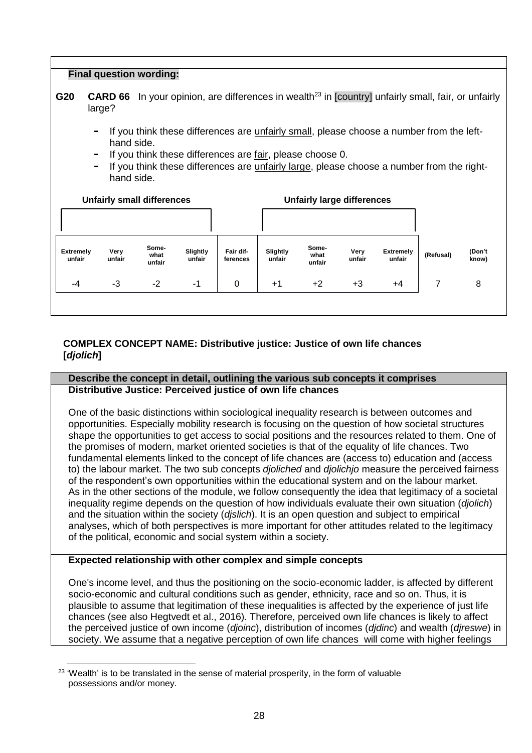| <b>Final question wording:</b>                                                                                                                                                                                                                                                                |                |                                   |                    |                       |                    |                                   |                |                            |           |                 |  |  |  |
|-----------------------------------------------------------------------------------------------------------------------------------------------------------------------------------------------------------------------------------------------------------------------------------------------|----------------|-----------------------------------|--------------------|-----------------------|--------------------|-----------------------------------|----------------|----------------------------|-----------|-----------------|--|--|--|
| In your opinion, are differences in wealth <sup>23</sup> in [country] unfairly small, fair, or unfairly<br>G20<br><b>CARD 66</b><br>large?                                                                                                                                                    |                |                                   |                    |                       |                    |                                   |                |                            |           |                 |  |  |  |
| If you think these differences are unfairly small, please choose a number from the left-<br>۰<br>hand side.<br>If you think these differences are fair, please choose 0.<br>۰<br>If you think these differences are unfairly large, please choose a number from the right-<br>۰<br>hand side. |                |                                   |                    |                       |                    |                                   |                |                            |           |                 |  |  |  |
|                                                                                                                                                                                                                                                                                               |                | <b>Unfairly small differences</b> |                    |                       |                    | <b>Unfairly large differences</b> |                |                            |           |                 |  |  |  |
|                                                                                                                                                                                                                                                                                               |                |                                   |                    |                       |                    |                                   |                |                            |           |                 |  |  |  |
| <b>Extremely</b><br>unfair                                                                                                                                                                                                                                                                    | Very<br>unfair | Some-<br>what<br>unfair           | Slightly<br>unfair | Fair dif-<br>ferences | Slightly<br>unfair | Some-<br>what<br>unfair           | Very<br>unfair | <b>Extremely</b><br>unfair | (Refusal) | (Don't<br>know) |  |  |  |
| -4                                                                                                                                                                                                                                                                                            | -3             | $-2$                              | -1                 | 0                     | $+1$               | $+2$                              | $+3$           | +4                         | 7         | 8               |  |  |  |
|                                                                                                                                                                                                                                                                                               |                |                                   |                    |                       |                    |                                   |                |                            |           |                 |  |  |  |

# <span id="page-27-0"></span>**COMPLEX CONCEPT NAME: Distributive justice: Justice of own life chances [***djolich***]**

# **Describe the concept in detail, outlining the various sub concepts it comprises Distributive Justice: Perceived justice of own life chances**

One of the basic distinctions within sociological inequality research is between outcomes and opportunities. Especially mobility research is focusing on the question of how societal structures shape the opportunities to get access to social positions and the resources related to them. One of the promises of modern, market oriented societies is that of the equality of life chances. Two fundamental elements linked to the concept of life chances are (access to) education and (access to) the labour market. The two sub concepts *djoliched* and *djolichjo* measure the perceived fairness of the respondent's own opportunities within the educational system and on the labour market. As in the other sections of the module, we follow consequently the idea that legitimacy of a societal inequality regime depends on the question of how individuals evaluate their own situation (*djolich*) and the situation within the society (*djslich*). It is an open question and subject to empirical analyses, which of both perspectives is more important for other attitudes related to the legitimacy of the political, economic and social system within a society.

# **Expected relationship with other complex and simple concepts**

One's income level, and thus the positioning on the socio-economic ladder, is affected by different socio-economic and cultural conditions such as gender, ethnicity, race and so on. Thus, it is plausible to assume that legitimation of these inequalities is affected by the experience of just life chances (see also Hegtvedt et al., 2016). Therefore, perceived own life chances is likely to affect the perceived justice of own income (*djoinc*), distribution of incomes (*djdinc*) and wealth (*djreswe*) in society. We assume that a negative perception of own life chances will come with higher feelings

<sup>-</sup><sup>23</sup> 'Wealth' is to be translated in the sense of material prosperity, in the form of valuable possessions and/or money.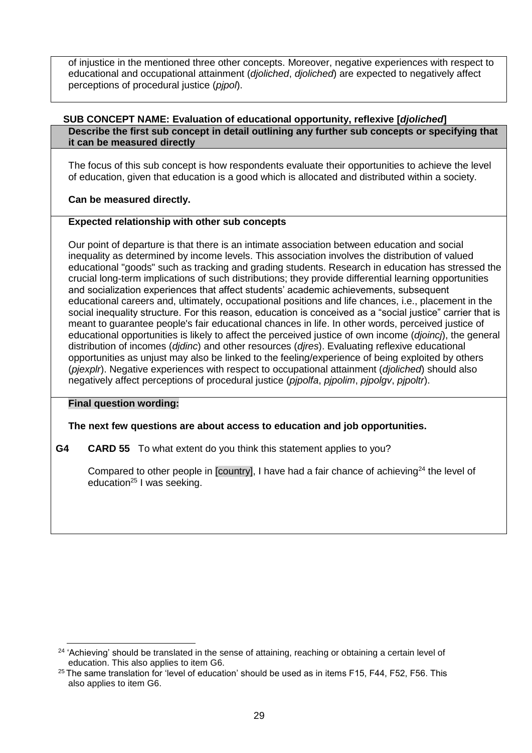of injustice in the mentioned three other concepts. Moreover, negative experiences with respect to educational and occupational attainment (*djoliched*, *djoliched*) are expected to negatively affect perceptions of procedural justice (*pjpol*).

#### <span id="page-28-0"></span>**SUB CONCEPT NAME: Evaluation of educational opportunity, reflexive [***djoliched***] Describe the first sub concept in detail outlining any further sub concepts or specifying that it can be measured directly**

The focus of this sub concept is how respondents evaluate their opportunities to achieve the level of education, given that education is a good which is allocated and distributed within a society.

**Can be measured directly.**

## **Expected relationship with other sub concepts**

Our point of departure is that there is an intimate association between education and social inequality as determined by income levels. This association involves the distribution of valued educational "goods" such as tracking and grading students. Research in education has stressed the crucial long-term implications of such distributions; they provide differential learning opportunities and socialization experiences that affect students' academic achievements, subsequent educational careers and, ultimately, occupational positions and life chances, i.e., placement in the social inequality structure. For this reason, education is conceived as a "social justice" carrier that is meant to guarantee people's fair educational chances in life. In other words, perceived justice of educational opportunities is likely to affect the perceived justice of own income (*djoincj*), the general distribution of incomes (*djdinc*) and other resources (*djres*). Evaluating reflexive educational opportunities as unjust may also be linked to the feeling/experience of being exploited by others (*pjexplr*). Negative experiences with respect to occupational attainment (*djoliched*) should also negatively affect perceptions of procedural justice (*pjpolfa*, *pjpolim*, *pjpolgv*, *pjpoltr*).

## **Final question wording:**

# **The next few questions are about access to education and job opportunities.**

**G4 CARD 55** To what extent do you think this statement applies to you?

Compared to other people in  $[country]$ , I have had a fair chance of achieving<sup>24</sup> the level of education<sup>25</sup> I was seeking.

<sup>&</sup>lt;u>.</u> <sup>24</sup> 'Achieving' should be translated in the sense of attaining, reaching or obtaining a certain level of education. This also applies to item G6.

<sup>&</sup>lt;sup>25</sup> The same translation for 'level of education' should be used as in items F15, F44, F52, F56. This also applies to item G6.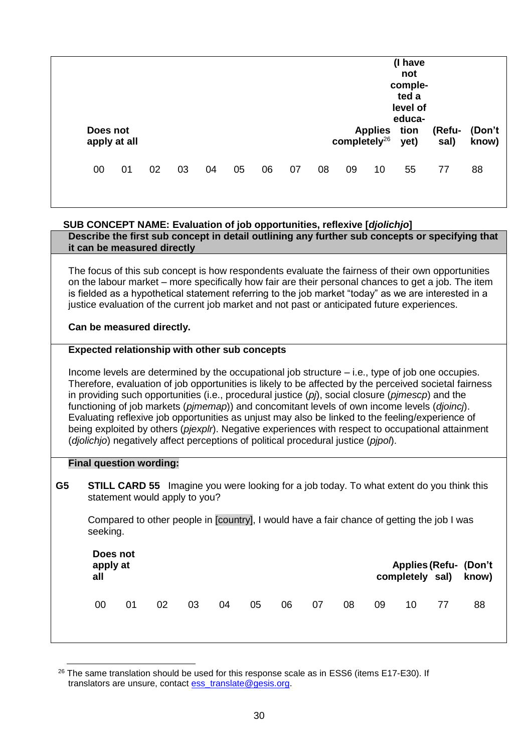| apply at all | Does not |    |    |    |    |    |    |    |    | Applies tion<br>completely $^{26}$ | (I have<br>not<br>comple-<br>ted a<br>level of<br>educa-<br>yet) | (Refu-<br>sal) | (Don't<br>know) |
|--------------|----------|----|----|----|----|----|----|----|----|------------------------------------|------------------------------------------------------------------|----------------|-----------------|
| 00           | 01       | 02 | 03 | 04 | 05 | 06 | 07 | 08 | 09 | 10                                 | 55                                                               | 77             | 88              |

# <span id="page-29-0"></span>**SUB CONCEPT NAME: Evaluation of job opportunities, reflexive [***djolichjo***]**

**Describe the first sub concept in detail outlining any further sub concepts or specifying that it can be measured directly**

The focus of this sub concept is how respondents evaluate the fairness of their own opportunities on the labour market – more specifically how fair are their personal chances to get a job. The item is fielded as a hypothetical statement referring to the job market "today" as we are interested in a justice evaluation of the current job market and not past or anticipated future experiences.

**Can be measured directly.**

#### **Expected relationship with other sub concepts**

Income levels are determined by the occupational job structure – i.e., type of job one occupies. Therefore, evaluation of job opportunities is likely to be affected by the perceived societal fairness in providing such opportunities (i.e., procedural justice (*pj*), social closure (*pjmescp*) and the functioning of job markets (*pjmemap*)) and concomitant levels of own income levels (*djoincj*). Evaluating reflexive job opportunities as unjust may also be linked to the feeling/experience of being exploited by others (*pjexplr*). Negative experiences with respect to occupational attainment (*djolichjo*) negatively affect perceptions of political procedural justice (*pjpol*).

#### **Final question wording:**

-

**G5 STILL CARD 55** Imagine you were looking for a job today. To what extent do you think this statement would apply to you?

Compared to other people in [country], I would have a fair chance of getting the job I was seeking.

| Does not<br>apply at<br>all |    |    |    |    |    |    |    |    |    | completely sal) | <b>Applies (Refu- (Don't</b><br>know) |
|-----------------------------|----|----|----|----|----|----|----|----|----|-----------------|---------------------------------------|
| 00                          | 01 | 02 | 03 | 04 | 05 | 06 | 07 | 08 | 09 | 10              | 88                                    |

 $26$  The same translation should be used for this response scale as in ESS6 (items E17-E30). If translators are unsure, contact [ess\\_translate@gesis.org.](mailto:ess_translate@gesis.org)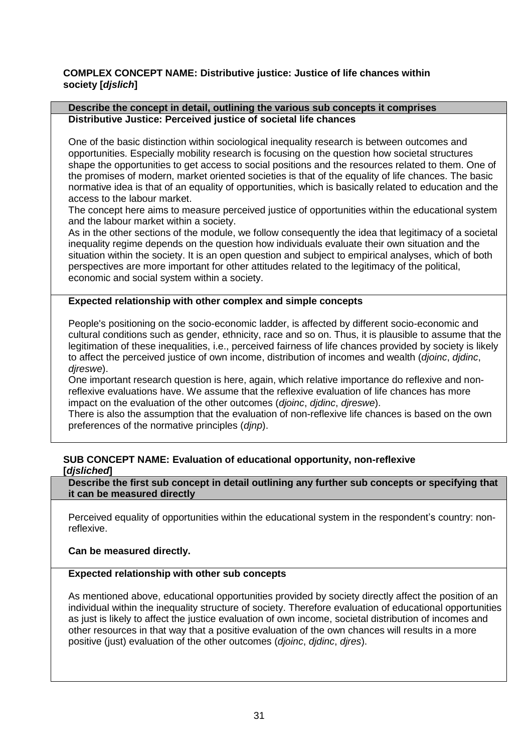# <span id="page-30-0"></span>**COMPLEX CONCEPT NAME: Distributive justice: Justice of life chances within society [***djslich***]**

#### **Describe the concept in detail, outlining the various sub concepts it comprises Distributive Justice: Perceived justice of societal life chances**

One of the basic distinction within sociological inequality research is between outcomes and opportunities. Especially mobility research is focusing on the question how societal structures shape the opportunities to get access to social positions and the resources related to them. One of the promises of modern, market oriented societies is that of the equality of life chances. The basic normative idea is that of an equality of opportunities, which is basically related to education and the access to the labour market.

The concept here aims to measure perceived justice of opportunities within the educational system and the labour market within a society.

As in the other sections of the module, we follow consequently the idea that legitimacy of a societal inequality regime depends on the question how individuals evaluate their own situation and the situation within the society. It is an open question and subject to empirical analyses, which of both perspectives are more important for other attitudes related to the legitimacy of the political, economic and social system within a society.

## **Expected relationship with other complex and simple concepts**

People's positioning on the socio-economic ladder, is affected by different socio-economic and cultural conditions such as gender, ethnicity, race and so on. Thus, it is plausible to assume that the legitimation of these inequalities, i.e., perceived fairness of life chances provided by society is likely to affect the perceived justice of own income, distribution of incomes and wealth (*djoinc*, *djdinc*, *djreswe*).

One important research question is here, again, which relative importance do reflexive and nonreflexive evaluations have. We assume that the reflexive evaluation of life chances has more impact on the evaluation of the other outcomes (*djoinc*, *djdinc*, *djreswe*).

There is also the assumption that the evaluation of non-reflexive life chances is based on the own preferences of the normative principles (*djnp*).

## <span id="page-30-1"></span>**SUB CONCEPT NAME: Evaluation of educational opportunity, non-reflexive [***djsliched***]**

**Describe the first sub concept in detail outlining any further sub concepts or specifying that it can be measured directly**

Perceived equality of opportunities within the educational system in the respondent's country: nonreflexive.

**Can be measured directly.**

#### **Expected relationship with other sub concepts**

As mentioned above, educational opportunities provided by society directly affect the position of an individual within the inequality structure of society. Therefore evaluation of educational opportunities as just is likely to affect the justice evaluation of own income, societal distribution of incomes and other resources in that way that a positive evaluation of the own chances will results in a more positive (just) evaluation of the other outcomes (*djoinc*, *djdinc*, *djres*).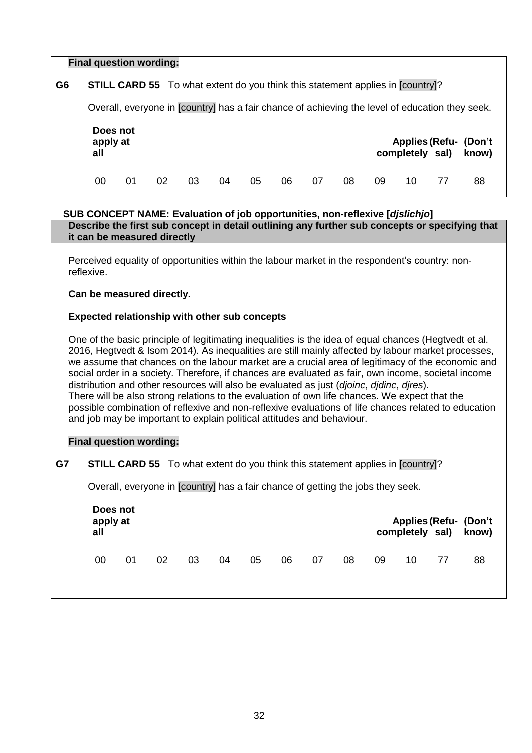| <b>Final question wording:</b> |                                                                                                 |    |    |    |    |    |    |    |    |    |    |    |                                                                                                |  |
|--------------------------------|-------------------------------------------------------------------------------------------------|----|----|----|----|----|----|----|----|----|----|----|------------------------------------------------------------------------------------------------|--|
|                                |                                                                                                 |    |    |    |    |    |    |    |    |    |    |    |                                                                                                |  |
| G <sub>6</sub>                 | <b>STILL CARD 55</b> To what extent do you think this statement applies in [country]?           |    |    |    |    |    |    |    |    |    |    |    |                                                                                                |  |
|                                | Overall, everyone in [country] has a fair chance of achieving the level of education they seek. |    |    |    |    |    |    |    |    |    |    |    |                                                                                                |  |
|                                | Does not<br><b>Applies (Refu- (Don't</b><br>apply at<br>completely sal)<br>all<br>know)         |    |    |    |    |    |    |    |    |    |    |    |                                                                                                |  |
|                                | 00                                                                                              | 01 | 02 | 03 | 04 | 05 | 06 | 07 | 08 | 09 | 10 | 77 | 88                                                                                             |  |
|                                | SUB CONCEPT NAME: Evaluation of job opportunities, non-reflexive [djslichjo]                    |    |    |    |    |    |    |    |    |    |    |    |                                                                                                |  |
|                                |                                                                                                 |    |    |    |    |    |    |    |    |    |    |    | Describe the first sub concept in detail outlining any further sub concepts or specifying that |  |

| Perceived equality of opportunities within the labour market in the respondent's country: non- |
|------------------------------------------------------------------------------------------------|
| reflexive.                                                                                     |

#### **Can be measured directly.**

<span id="page-31-0"></span>**it can be measured directly**

#### **Expected relationship with other sub concepts**

One of the basic principle of legitimating inequalities is the idea of equal chances (Hegtvedt et al. 2016, Hegtvedt & Isom 2014). As inequalities are still mainly affected by labour market processes, we assume that chances on the labour market are a crucial area of legitimacy of the economic and social order in a society. Therefore, if chances are evaluated as fair, own income, societal income distribution and other resources will also be evaluated as just (*djoinc*, *djdinc*, *djres*). There will be also strong relations to the evaluation of own life chances. We expect that the possible combination of reflexive and non-reflexive evaluations of life chances related to education and job may be important to explain political attitudes and behaviour.

#### **Final question wording:**

# **G7 STILL CARD 55** To what extent do you think this statement applies in [country]?

Overall, everyone in [country] has a fair chance of getting the jobs they seek.

| apply at<br>all | Does not |    |    |    |    |    |    |    | <b>Applies (Refu- (Don't)</b><br>completely sal) know) |    |    |    |  |
|-----------------|----------|----|----|----|----|----|----|----|--------------------------------------------------------|----|----|----|--|
| 00              | 01       | 02 | 03 | 04 | 05 | 06 | 07 | 08 | 09                                                     | 10 | 77 | 88 |  |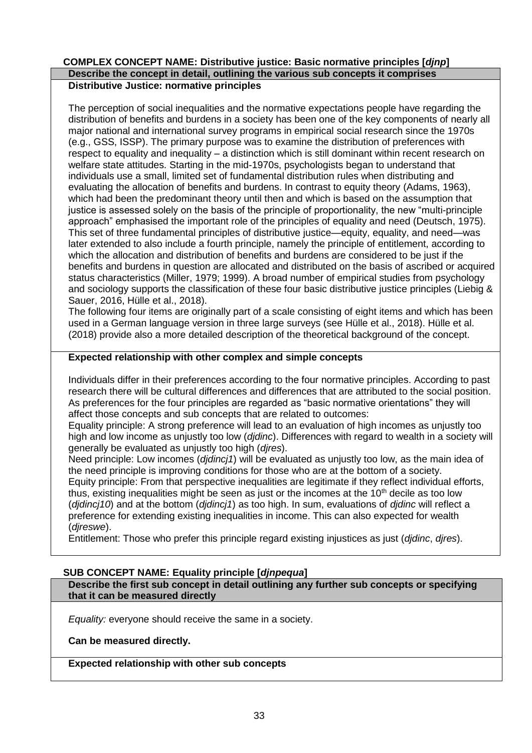#### <span id="page-32-0"></span>**COMPLEX CONCEPT NAME: Distributive justice: Basic normative principles [***djnp***] Describe the concept in detail, outlining the various sub concepts it comprises Distributive Justice: normative principles**

The perception of social inequalities and the normative expectations people have regarding the distribution of benefits and burdens in a society has been one of the key components of nearly all major national and international survey programs in empirical social research since the 1970s (e.g., GSS, ISSP). The primary purpose was to examine the distribution of preferences with respect to equality and inequality – a distinction which is still dominant within recent research on welfare state attitudes. Starting in the mid-1970s, psychologists began to understand that individuals use a small, limited set of fundamental distribution rules when distributing and evaluating the allocation of benefits and burdens. In contrast to equity theory (Adams, 1963), which had been the predominant theory until then and which is based on the assumption that justice is assessed solely on the basis of the principle of proportionality, the new "multi-principle approach" emphasised the important role of the principles of equality and need (Deutsch, 1975). This set of three fundamental principles of distributive justice—equity, equality, and need—was later extended to also include a fourth principle, namely the principle of entitlement, according to which the allocation and distribution of benefits and burdens are considered to be just if the benefits and burdens in question are allocated and distributed on the basis of ascribed or acquired status characteristics (Miller, 1979; 1999). A broad number of empirical studies from psychology and sociology supports the classification of these four basic distributive justice principles (Liebig & Sauer, 2016, Hülle et al., 2018).

The following four items are originally part of a scale consisting of eight items and which has been used in a German language version in three large surveys (see Hülle et al., 2018). Hülle et al. (2018) provide also a more detailed description of the theoretical background of the concept.

# **Expected relationship with other complex and simple concepts**

Individuals differ in their preferences according to the four normative principles. According to past research there will be cultural differences and differences that are attributed to the social position. As preferences for the four principles are regarded as "basic normative orientations" they will affect those concepts and sub concepts that are related to outcomes:

Equality principle: A strong preference will lead to an evaluation of high incomes as unjustly too high and low income as unjustly too low (*djdinc*). Differences with regard to wealth in a society will generally be evaluated as unjustly too high (*djres*).

Need principle: Low incomes (*djdincj1*) will be evaluated as unjustly too low, as the main idea of the need principle is improving conditions for those who are at the bottom of a society.

Equity principle: From that perspective inequalities are legitimate if they reflect individual efforts, thus, existing inequalities might be seen as just or the incomes at the  $10<sup>th</sup>$  decile as too low (*djdincj10*) and at the bottom (*djdincj1*) as too high. In sum, evaluations of *djdinc* will reflect a preference for extending existing inequalities in income. This can also expected for wealth (*djreswe*).

Entitlement: Those who prefer this principle regard existing injustices as just (*djdinc*, *djres*).

## <span id="page-32-1"></span>**SUB CONCEPT NAME: Equality principle [***djnpequa***]**

**Describe the first sub concept in detail outlining any further sub concepts or specifying that it can be measured directly**

*Equality:* everyone should receive the same in a society.

**Can be measured directly.**

**Expected relationship with other sub concepts**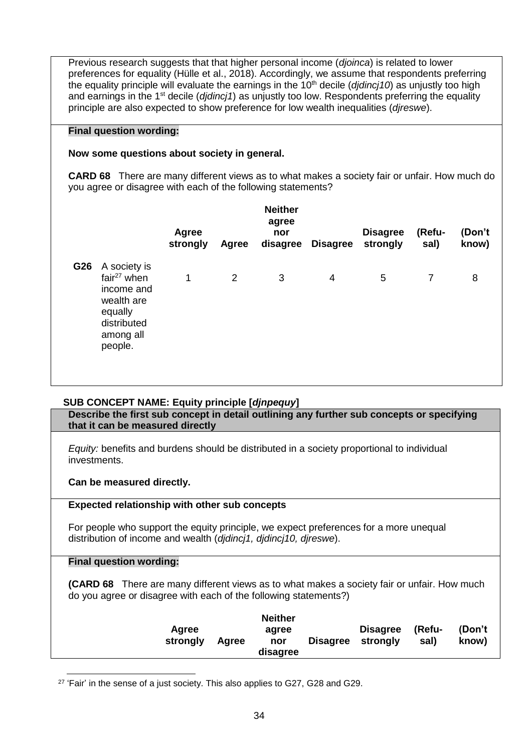Previous research suggests that that higher personal income (*djoinca*) is related to lower preferences for equality (Hülle et al., 2018). Accordingly, we assume that respondents preferring the equality principle will evaluate the earnings in the 10<sup>th</sup> decile (*didinci10*) as unjustly too high and earnings in the 1st decile (*djdincj1*) as unjustly too low. Respondents preferring the equality principle are also expected to show preference for low wealth inequalities (*djreswe*).

#### **Final question wording:**

## **Now some questions about society in general.**

**CARD 68** There are many different views as to what makes a society fair or unfair. How much do you agree or disagree with each of the following statements?

|     |                                                                                                              | <b>Agree</b><br>strongly | Agree | <b>Neither</b><br>agree<br>nor<br>disagree | <b>Disagree</b> | <b>Disagree</b><br>strongly | (Refu-<br>sal) | (Don't<br>know) |  |
|-----|--------------------------------------------------------------------------------------------------------------|--------------------------|-------|--------------------------------------------|-----------------|-----------------------------|----------------|-----------------|--|
| G26 | A society is<br>fair $27$ when<br>income and<br>wealth are<br>equally<br>distributed<br>among all<br>people. | 1                        | 2     | 3                                          | 4               | 5                           | 7              | 8               |  |

## <span id="page-33-0"></span>**SUB CONCEPT NAME: Equity principle [***djnpequy***]**

**Describe the first sub concept in detail outlining any further sub concepts or specifying that it can be measured directly**

*Equity:* benefits and burdens should be distributed in a society proportional to individual investments.

**Can be measured directly.**

## **Expected relationship with other sub concepts**

For people who support the equity principle, we expect preferences for a more unequal distribution of income and wealth (*djdincj1, djdincj10, djreswe*).

#### **Final question wording:**

**(CARD 68** There are many different views as to what makes a society fair or unfair. How much do you agree or disagree with each of the following statements?)

|          |       | <b>Neither</b> |                   |                 |        |        |
|----------|-------|----------------|-------------------|-----------------|--------|--------|
| Agree    |       | agree          |                   | <b>Disagree</b> | (Refu- | (Don't |
| strongly | Agree | nor            | Disagree strongly |                 | sal)   | know)  |
|          |       | disagree       |                   |                 |        |        |

<sup>&</sup>lt;u>.</u> <sup>27</sup> 'Fair' in the sense of a just society. This also applies to G27, G28 and G29.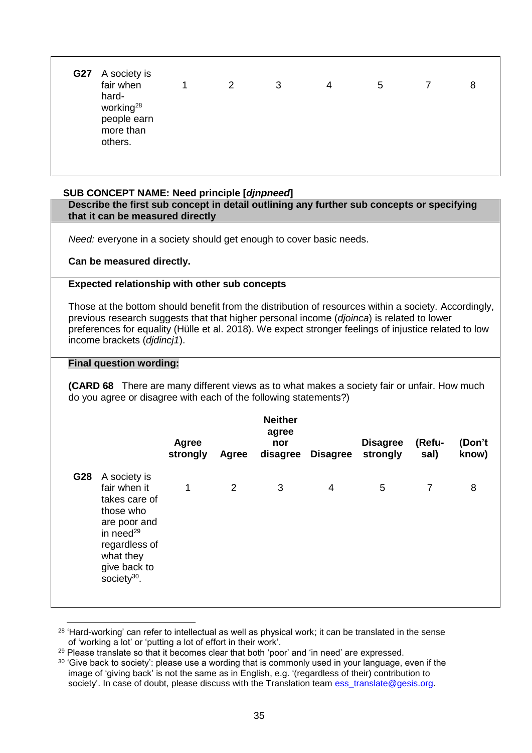| fair when<br>hard-<br>working <sup>28</sup> | $\overline{1}$ | 2 | 3 | $\overline{4}$ | 5 | 8 |
|---------------------------------------------|----------------|---|---|----------------|---|---|
| people earn<br>more than<br>others.         |                |   |   |                |   |   |

## <span id="page-34-0"></span>**SUB CONCEPT NAME: Need principle [***djnpneed***]**

**Describe the first sub concept in detail outlining any further sub concepts or specifying that it can be measured directly**

*Need:* everyone in a society should get enough to cover basic needs.

#### **Can be measured directly.**

#### **Expected relationship with other sub concepts**

Those at the bottom should benefit from the distribution of resources within a society. Accordingly, previous research suggests that that higher personal income (*djoinca*) is related to lower preferences for equality (Hülle et al. 2018). We expect stronger feelings of injustice related to low income brackets (*djdincj1*).

#### **Final question wording:**

**(CARD 68** There are many different views as to what makes a society fair or unfair. How much do you agree or disagree with each of the following statements?)

|     |                                                                                                                                                                        | <b>Agree</b><br>strongly | Agree | <b>Neither</b><br>agree<br>nor | disagree Disagree | <b>Disagree</b><br>strongly | (Refu-<br>sal) | (Don't<br>know) |
|-----|------------------------------------------------------------------------------------------------------------------------------------------------------------------------|--------------------------|-------|--------------------------------|-------------------|-----------------------------|----------------|-----------------|
| G28 | A society is<br>fair when it<br>takes care of<br>those who<br>are poor and<br>in need $^{29}$<br>regardless of<br>what they<br>give back to<br>society <sup>30</sup> . | 1                        | 2     | 3                              | 4                 | 5                           | $\overline{7}$ | 8               |

<u>.</u>  $28$  'Hard-working' can refer to intellectual as well as physical work; it can be translated in the sense of 'working a lot' or 'putting a lot of effort in their work'.

<sup>29</sup> Please translate so that it becomes clear that both 'poor' and 'in need' are expressed.

<sup>&</sup>lt;sup>30</sup> 'Give back to society': please use a wording that is commonly used in your language, even if the image of 'giving back' is not the same as in English, e.g. '(regardless of their) contribution to society'. In case of doubt, please discuss with the Translation team [ess\\_translate@gesis.org.](mailto:ess_translate@gesis.org)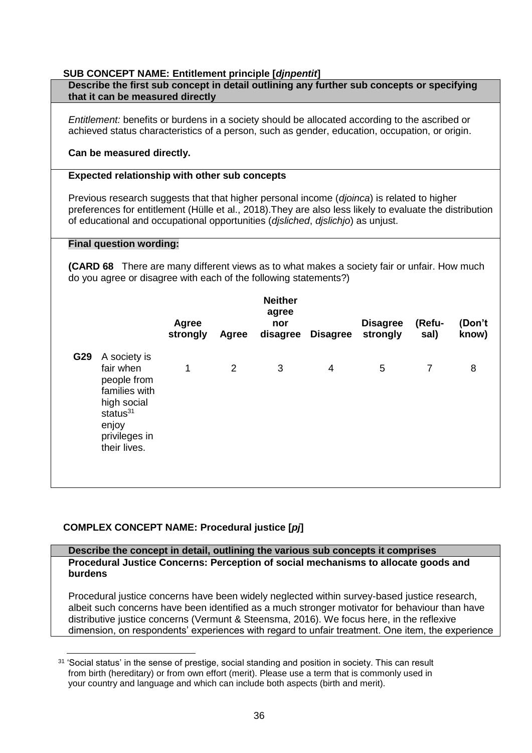## **SUB CONCEPT NAME: Entitlement principle [***djnpentit***]**

<span id="page-35-0"></span>

|     | Describe the first sub concept in detail outlining any further sub concepts or specifying<br>that it can be measured directly                                                                                                                                                                                                                     |                          |       |                                            |                 |                             |                |                 |
|-----|---------------------------------------------------------------------------------------------------------------------------------------------------------------------------------------------------------------------------------------------------------------------------------------------------------------------------------------------------|--------------------------|-------|--------------------------------------------|-----------------|-----------------------------|----------------|-----------------|
|     | <i>Entitlement:</i> benefits or burdens in a society should be allocated according to the ascribed or<br>achieved status characteristics of a person, such as gender, education, occupation, or origin.<br>Can be measured directly.                                                                                                              |                          |       |                                            |                 |                             |                |                 |
|     |                                                                                                                                                                                                                                                                                                                                                   |                          |       |                                            |                 |                             |                |                 |
|     | <b>Expected relationship with other sub concepts</b><br>Previous research suggests that that higher personal income (djoinca) is related to higher<br>preferences for entitlement (Hülle et al., 2018). They are also less likely to evaluate the distribution<br>of educational and occupational opportunities (disliched, dislichio) as unjust. |                          |       |                                            |                 |                             |                |                 |
|     | <b>Final question wording:</b><br><b>(CARD 68</b> There are many different views as to what makes a society fair or unfair. How much<br>do you agree or disagree with each of the following statements?)                                                                                                                                          |                          |       |                                            |                 |                             |                |                 |
|     |                                                                                                                                                                                                                                                                                                                                                   | <b>Agree</b><br>strongly | Agree | <b>Neither</b><br>agree<br>nor<br>disagree | <b>Disagree</b> | <b>Disagree</b><br>strongly | (Refu-<br>sal) | (Don't<br>know) |
| G29 | A society is<br>fair when<br>people from<br>families with<br>high social<br>status $31$<br>enjoy<br>privileges in<br>their lives.                                                                                                                                                                                                                 | 1                        | 2     | 3                                          | $\overline{4}$  | 5                           | $\overline{7}$ | 8               |

# <span id="page-35-1"></span>**COMPLEX CONCEPT NAME: Procedural justice [***pj***]**

## **Describe the concept in detail, outlining the various sub concepts it comprises Procedural Justice Concerns: Perception of social mechanisms to allocate goods and burdens**

Procedural justice concerns have been widely neglected within survey-based justice research, albeit such concerns have been identified as a much stronger motivator for behaviour than have distributive justice concerns (Vermunt & Steensma, 2016). We focus here, in the reflexive dimension, on respondents' experiences with regard to unfair treatment. One item, the experience

<sup>&</sup>lt;u>.</u> <sup>31</sup> 'Social status' in the sense of prestige, social standing and position in society. This can result from birth (hereditary) or from own effort (merit). Please use a term that is commonly used in your country and language and which can include both aspects (birth and merit).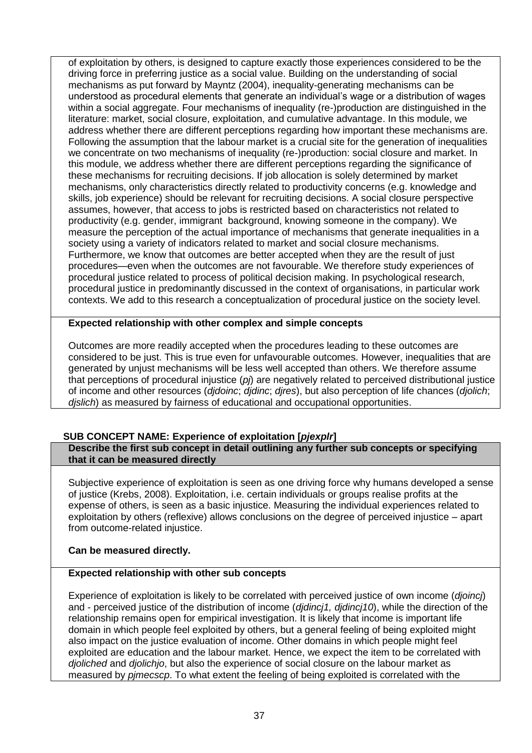of exploitation by others, is designed to capture exactly those experiences considered to be the driving force in preferring justice as a social value. Building on the understanding of social mechanisms as put forward by Mayntz (2004), inequality-generating mechanisms can be understood as procedural elements that generate an individual's wage or a distribution of wages within a social aggregate. Four mechanisms of inequality (re-)production are distinguished in the literature: market, social closure, exploitation, and cumulative advantage. In this module, we address whether there are different perceptions regarding how important these mechanisms are. Following the assumption that the labour market is a crucial site for the generation of inequalities we concentrate on two mechanisms of inequality (re-)production: social closure and market. In this module, we address whether there are different perceptions regarding the significance of these mechanisms for recruiting decisions. If job allocation is solely determined by market mechanisms, only characteristics directly related to productivity concerns (e.g. knowledge and skills, job experience) should be relevant for recruiting decisions. A social closure perspective assumes, however, that access to jobs is restricted based on characteristics not related to productivity (e.g. gender, immigrant background, knowing someone in the company). We measure the perception of the actual importance of mechanisms that generate inequalities in a society using a variety of indicators related to market and social closure mechanisms. Furthermore, we know that outcomes are better accepted when they are the result of just procedures—even when the outcomes are not favourable. We therefore study experiences of procedural justice related to process of political decision making. In psychological research, procedural justice in predominantly discussed in the context of organisations, in particular work contexts. We add to this research a conceptualization of procedural justice on the society level.

## **Expected relationship with other complex and simple concepts**

Outcomes are more readily accepted when the procedures leading to these outcomes are considered to be just. This is true even for unfavourable outcomes. However, inequalities that are generated by unjust mechanisms will be less well accepted than others. We therefore assume that perceptions of procedural injustice (*pj*) are negatively related to perceived distributional justice of income and other resources (*djdoinc*; *djdinc*; *djres*), but also perception of life chances (*djolich*; *djslich*) as measured by fairness of educational and occupational opportunities.

## <span id="page-36-0"></span>**SUB CONCEPT NAME: Experience of exploitation [***pjexplr***]**

#### **Describe the first sub concept in detail outlining any further sub concepts or specifying that it can be measured directly**

Subjective experience of exploitation is seen as one driving force why humans developed a sense of justice (Krebs, 2008). Exploitation, i.e. certain individuals or groups realise profits at the expense of others, is seen as a basic injustice. Measuring the individual experiences related to exploitation by others (reflexive) allows conclusions on the degree of perceived injustice – apart from outcome-related injustice.

## **Can be measured directly.**

## **Expected relationship with other sub concepts**

Experience of exploitation is likely to be correlated with perceived justice of own income (*djoincj*) and - perceived justice of the distribution of income (*djdincj1, djdincj10*), while the direction of the relationship remains open for empirical investigation. It is likely that income is important life domain in which people feel exploited by others, but a general feeling of being exploited might also impact on the justice evaluation of income. Other domains in which people might feel exploited are education and the labour market. Hence, we expect the item to be correlated with *djoliched* and *djolichjo*, but also the experience of social closure on the labour market as measured by *pjmecscp*. To what extent the feeling of being exploited is correlated with the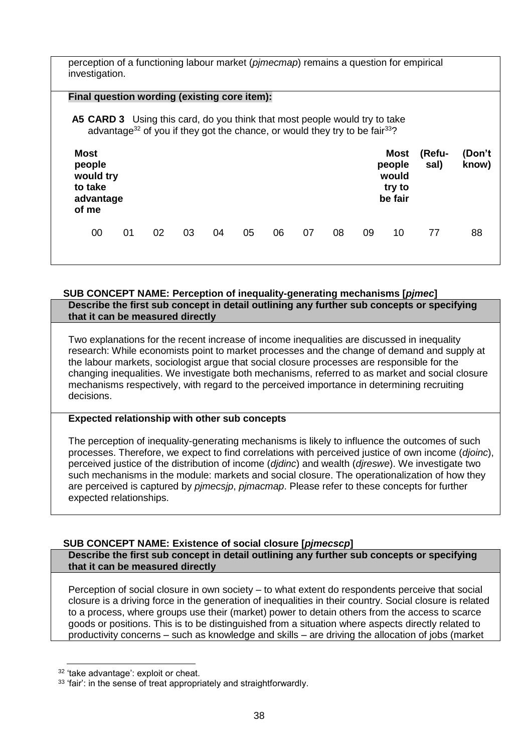| perception of a functioning labour market (pimecmap) remains a question for empirical<br>investigation. |                                                                                                     |    |    |    |    |    |    |    |    |                                              |                |                 |
|---------------------------------------------------------------------------------------------------------|-----------------------------------------------------------------------------------------------------|----|----|----|----|----|----|----|----|----------------------------------------------|----------------|-----------------|
| Final question wording (existing core item):                                                            |                                                                                                     |    |    |    |    |    |    |    |    |                                              |                |                 |
| <b>A5 CARD 3</b> Using this card, do you think that most people would try to take                       | advantage <sup>32</sup> of you if they got the chance, or would they try to be fair <sup>33</sup> ? |    |    |    |    |    |    |    |    |                                              |                |                 |
| <b>Most</b><br>people<br>would try<br>to take<br>advantage<br>of me                                     |                                                                                                     |    |    |    |    |    |    |    |    | Most<br>people<br>would<br>try to<br>be fair | (Refu-<br>sal) | (Don't<br>know) |
| 00                                                                                                      | 01                                                                                                  | 02 | 03 | 04 | 05 | 06 | 07 | 08 | 09 | 10                                           | 77             | 88              |

#### <span id="page-37-0"></span>**SUB CONCEPT NAME: Perception of inequality-generating mechanisms [***pjmec***] Describe the first sub concept in detail outlining any further sub concepts or specifying that it can be measured directly**

Two explanations for the recent increase of income inequalities are discussed in inequality research: While economists point to market processes and the change of demand and supply at the labour markets, sociologist argue that social closure processes are responsible for the changing inequalities. We investigate both mechanisms, referred to as market and social closure mechanisms respectively, with regard to the perceived importance in determining recruiting decisions.

# **Expected relationship with other sub concepts**

The perception of inequality-generating mechanisms is likely to influence the outcomes of such processes. Therefore, we expect to find correlations with perceived justice of own income (*djoinc*), perceived justice of the distribution of income (*djdinc*) and wealth (*djreswe*). We investigate two such mechanisms in the module: markets and social closure. The operationalization of how they are perceived is captured by *pjmecsjp*, *pjmacmap*. Please refer to these concepts for further expected relationships.

# <span id="page-37-1"></span>**SUB CONCEPT NAME: Existence of social closure [***pjmecscp***]**

**Describe the first sub concept in detail outlining any further sub concepts or specifying that it can be measured directly**

Perception of social closure in own society – to what extent do respondents perceive that social closure is a driving force in the generation of inequalities in their country. Social closure is related to a process, where groups use their (market) power to detain others from the access to scarce goods or positions. This is to be distinguished from a situation where aspects directly related to productivity concerns – such as knowledge and skills – are driving the allocation of jobs (market

<sup>-</sup><sup>32</sup> 'take advantage': exploit or cheat.

<sup>33 &#</sup>x27;fair': in the sense of treat appropriately and straightforwardly.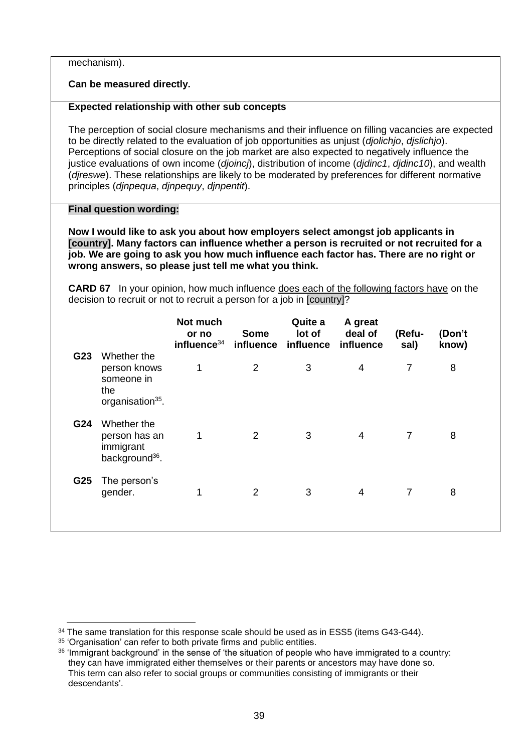mechanism).

**Can be measured directly.**

# **Expected relationship with other sub concepts**

The perception of social closure mechanisms and their influence on filling vacancies are expected to be directly related to the evaluation of job opportunities as unjust (*djolichjo*, *djslichjo*). Perceptions of social closure on the job market are also expected to negatively influence the justice evaluations of own income (*djoincj*), distribution of income (*djdinc1*, *djdinc10*), and wealth (*djreswe*). These relationships are likely to be moderated by preferences for different normative principles (*djnpequa*, *djnpequy*, *djnpentit*).

## **Final question wording:**

**Now I would like to ask you about how employers select amongst job applicants in [country]. Many factors can influence whether a person is recruited or not recruited for a job. We are going to ask you how much influence each factor has. There are no right or wrong answers, so please just tell me what you think.**

**CARD 67** In your opinion, how much influence does each of the following factors have on the decision to recruit or not to recruit a person for a job in [country]?

|     |                                                                                  | Not much<br>or no<br>influence <sup>34</sup> | <b>Some</b> | Quite a<br>lot of<br>influence influence influence | A great<br>deal of | (Refu-<br>sal) | (Don't<br>know) |  |
|-----|----------------------------------------------------------------------------------|----------------------------------------------|-------------|----------------------------------------------------|--------------------|----------------|-----------------|--|
| G23 | Whether the<br>person knows<br>someone in<br>the<br>organisation <sup>35</sup> . | 1                                            | 2           | 3                                                  | 4                  | 7              | 8               |  |
| G24 | Whether the<br>person has an<br>immigrant<br>background <sup>36</sup> .          | 1                                            | 2           | 3                                                  | $\overline{4}$     | $\overline{7}$ | 8               |  |
| G25 | The person's<br>gender.                                                          |                                              | 2           | 3                                                  | $\overline{4}$     | $\overline{7}$ | 8               |  |

<u>.</u>

<sup>&</sup>lt;sup>34</sup> The same translation for this response scale should be used as in ESS5 (items G43-G44).

<sup>&</sup>lt;sup>35</sup> 'Organisation' can refer to both private firms and public entities.

<sup>&</sup>lt;sup>36</sup> 'Immigrant background' in the sense of 'the situation of people who have immigrated to a country: they can have immigrated either themselves or their parents or ancestors may have done so. This term can also refer to social groups or communities consisting of immigrants or their descendants'.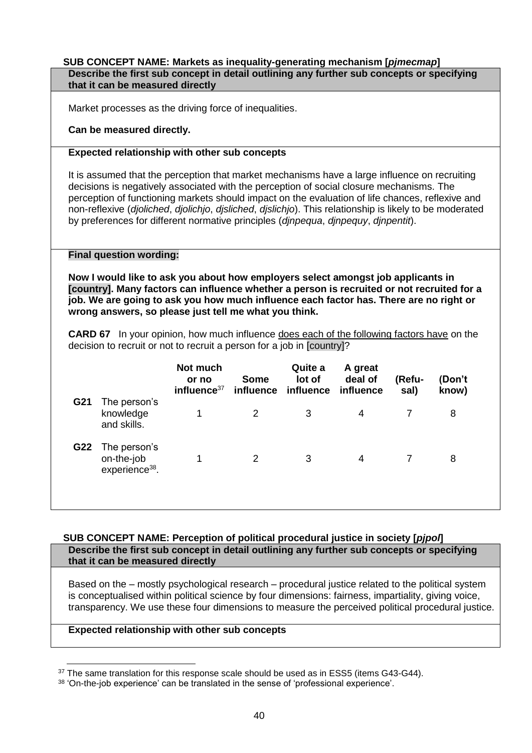#### <span id="page-39-0"></span>**SUB CONCEPT NAME: Markets as inequality-generating mechanism [***pjmecmap***] Describe the first sub concept in detail outlining any further sub concepts or specifying that it can be measured directly**

Market processes as the driving force of inequalities.

## **Can be measured directly.**

## **Expected relationship with other sub concepts**

It is assumed that the perception that market mechanisms have a large influence on recruiting decisions is negatively associated with the perception of social closure mechanisms. The perception of functioning markets should impact on the evaluation of life chances, reflexive and non-reflexive (*djoliched*, *djolichjo*, *djsliched*, *djslichjo*). This relationship is likely to be moderated by preferences for different normative principles (*djnpequa*, *djnpequy*, *djnpentit*).

## **Final question wording:**

**Now I would like to ask you about how employers select amongst job applicants in [country]. Many factors can influence whether a person is recruited or not recruited for a job. We are going to ask you how much influence each factor has. There are no right or wrong answers, so please just tell me what you think.**

**CARD 67** In your opinion, how much influence does each of the following factors have on the decision to recruit or not to recruit a person for a job in [country]?

|     |                                                          | Not much<br>or no<br>influence <sup>37</sup> | <b>Some</b>    | Quite a<br>lot of<br>influence influence influence | A great<br>deal of | (Refu-<br>sal) | (Don't<br>know) |  |
|-----|----------------------------------------------------------|----------------------------------------------|----------------|----------------------------------------------------|--------------------|----------------|-----------------|--|
| G21 | The person's<br>knowledge<br>and skills.                 |                                              | 2              | 3                                                  | 4                  |                | 8               |  |
| G22 | The person's<br>on-the-job<br>experience <sup>38</sup> . |                                              | $\overline{2}$ | 3                                                  | 4                  |                | 8               |  |

#### <span id="page-39-1"></span>**SUB CONCEPT NAME: Perception of political procedural justice in society [***pjpol***] Describe the first sub concept in detail outlining any further sub concepts or specifying that it can be measured directly**

Based on the – mostly psychological research – procedural justice related to the political system is conceptualised within political science by four dimensions: fairness, impartiality, giving voice, transparency. We use these four dimensions to measure the perceived political procedural justice.

## **Expected relationship with other sub concepts**

<sup>-</sup><sup>37</sup> The same translation for this response scale should be used as in ESS5 (items G43-G44).

 $38$  'On-the-job experience' can be translated in the sense of 'professional experience'.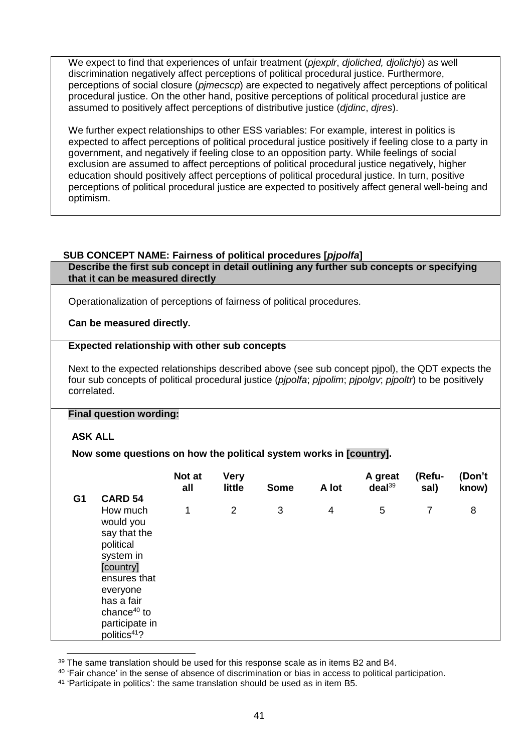We expect to find that experiences of unfair treatment (*pjexplr*, *djoliched, djolichjo*) as well discrimination negatively affect perceptions of political procedural justice. Furthermore, perceptions of social closure (*pjmecscp*) are expected to negatively affect perceptions of political procedural justice. On the other hand, positive perceptions of political procedural justice are assumed to positively affect perceptions of distributive justice (*djdinc*, *djres*).

We further expect relationships to other ESS variables: For example, interest in politics is expected to affect perceptions of political procedural justice positively if feeling close to a party in government, and negatively if feeling close to an opposition party. While feelings of social exclusion are assumed to affect perceptions of political procedural justice negatively, higher education should positively affect perceptions of political procedural justice. In turn, positive perceptions of political procedural justice are expected to positively affect general well-being and optimism.

# <span id="page-40-0"></span>**SUB CONCEPT NAME: Fairness of political procedures [***pjpolfa***]**

**Describe the first sub concept in detail outlining any further sub concepts or specifying that it can be measured directly**

Operationalization of perceptions of fairness of political procedures.

**Can be measured directly.**

## **Expected relationship with other sub concepts**

Next to the expected relationships described above (see sub concept pjpol), the QDT expects the four sub concepts of political procedural justice (*pjpolfa*; *pjpolim*; *pjpolgv*; *pjpoltr*) to be positively correlated.

## **Final question wording:**

## **ASK ALL**

**Now some questions on how the political system works in [country].**

|                |                                                                                                                                                                                                          | Not at<br>all | <b>Very</b><br>little | <b>Some</b> | A lot          | A great<br>deal <sup>39</sup> | (Refu-<br>sal) | (Don't<br>know) |
|----------------|----------------------------------------------------------------------------------------------------------------------------------------------------------------------------------------------------------|---------------|-----------------------|-------------|----------------|-------------------------------|----------------|-----------------|
| G <sub>1</sub> | <b>CARD 54</b><br>How much<br>would you<br>say that the<br>political<br>system in<br>[country]<br>ensures that<br>everyone<br>has a fair<br>chance $40$ to<br>participate in<br>politics <sup>41</sup> ? | 1             | 2                     | 3           | $\overline{4}$ | 5                             | $\overline{7}$ | 8               |

<sup>&</sup>lt;u>.</u> <sup>39</sup> The same translation should be used for this response scale as in items B2 and B4.

<sup>40</sup> 'Fair chance' in the sense of absence of discrimination or bias in access to political participation.

<sup>41</sup> 'Participate in politics': the same translation should be used as in item B5.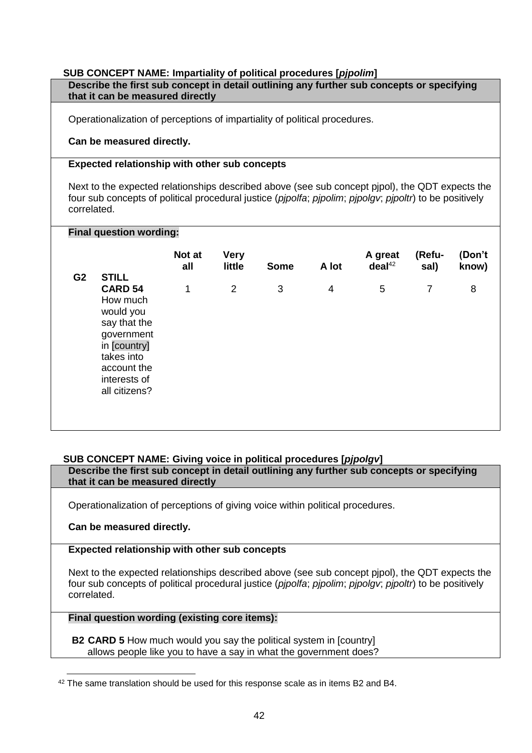# <span id="page-41-0"></span>**SUB CONCEPT NAME: Impartiality of political procedures [***pjpolim***]**

| Describe the first sub concept in detail outlining any further sub concepts or specifying |  |
|-------------------------------------------------------------------------------------------|--|
| that it can be measured directly                                                          |  |

Operationalization of perceptions of impartiality of political procedures.

## **Can be measured directly.**

#### **Expected relationship with other sub concepts**

Next to the expected relationships described above (see sub concept pjpol), the QDT expects the four sub concepts of political procedural justice (*pjpolfa*; *pjpolim*; *pjpolgv*; *pjpoltr*) to be positively correlated.

## **Final question wording:**

|                |                                                                                                                                                                     | Not at<br>all | <b>Very</b><br>little | <b>Some</b> | A lot | A great<br>deal <sup>42</sup> | (Refu-<br>sal) | (Don't<br>know) |
|----------------|---------------------------------------------------------------------------------------------------------------------------------------------------------------------|---------------|-----------------------|-------------|-------|-------------------------------|----------------|-----------------|
| G <sub>2</sub> | <b>STILL</b><br><b>CARD 54</b><br>How much<br>would you<br>say that the<br>government<br>in [country]<br>takes into<br>account the<br>interests of<br>all citizens? | 1             | 2                     | 3           | 4     | 5                             | $\overline{7}$ | 8               |

## <span id="page-41-1"></span>**SUB CONCEPT NAME: Giving voice in political procedures [***pjpolgv***]**

**Describe the first sub concept in detail outlining any further sub concepts or specifying that it can be measured directly**

Operationalization of perceptions of giving voice within political procedures.

## **Can be measured directly.**

## **Expected relationship with other sub concepts**

Next to the expected relationships described above (see sub concept pjpol), the QDT expects the four sub concepts of political procedural justice (*pjpolfa*; *pjpolim*; *pjpolgv*; *pjpoltr*) to be positively correlated.

# **Final question wording (existing core items):**

**B2 CARD 5** How much would you say the political system in [country] allows people like you to have a say in what the government does?

<sup>&</sup>lt;u>.</u> <sup>42</sup> The same translation should be used for this response scale as in items B2 and B4.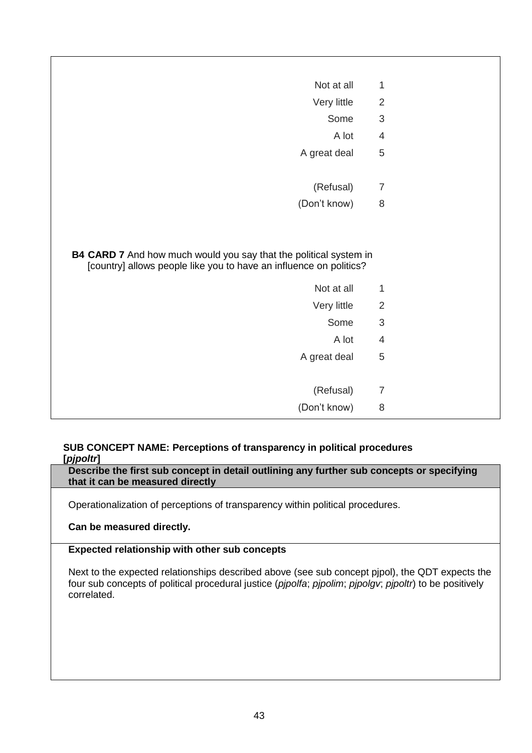| Not at all                                                                       | $\mathbf{1}$                   |
|----------------------------------------------------------------------------------|--------------------------------|
| Very little                                                                      | $\overline{2}$                 |
| Some                                                                             | $\mathfrak{S}$                 |
| A lot                                                                            | $\overline{4}$                 |
| A great deal                                                                     | 5                              |
| (Refusal)                                                                        | $\overline{7}$                 |
| (Don't know)                                                                     | 8                              |
| B4 CARD 7 And how much would you say that the political system in                |                                |
| [country] allows people like you to have an influence on politics?<br>Not at all |                                |
|                                                                                  | $\mathbf{1}$<br>$\overline{2}$ |
| Very little<br>Some                                                              | $\mathfrak{S}$                 |
| A lot                                                                            | $\overline{4}$                 |
| A great deal                                                                     | 5                              |
|                                                                                  |                                |
| (Refusal)                                                                        | $\overline{7}$                 |

## <span id="page-42-0"></span>**SUB CONCEPT NAME: Perceptions of transparency in political procedures [***pjpoltr***]**

**Describe the first sub concept in detail outlining any further sub concepts or specifying that it can be measured directly**

Operationalization of perceptions of transparency within political procedures.

**Can be measured directly.**

# **Expected relationship with other sub concepts**

Next to the expected relationships described above (see sub concept pjpol), the QDT expects the four sub concepts of political procedural justice (*pjpolfa*; *pjpolim*; *pjpolgv*; *pjpoltr*) to be positively correlated.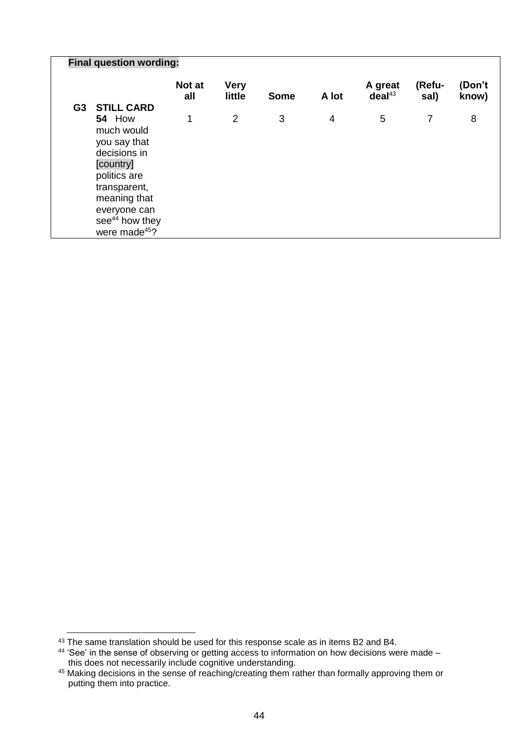|    | <b>Final question wording:</b>                                                                                                                                                                |               |                       |             |                |                               |                |                 |  |  |
|----|-----------------------------------------------------------------------------------------------------------------------------------------------------------------------------------------------|---------------|-----------------------|-------------|----------------|-------------------------------|----------------|-----------------|--|--|
|    |                                                                                                                                                                                               | Not at<br>all | <b>Very</b><br>little | <b>Some</b> | A lot          | A great<br>deal <sup>43</sup> | (Refu-<br>sal) | (Don't<br>know) |  |  |
| G3 | <b>STILL CARD</b>                                                                                                                                                                             |               |                       |             |                |                               |                |                 |  |  |
|    | <b>54 How</b><br>much would<br>you say that<br>decisions in<br>[country]<br>politics are<br>transparent,<br>meaning that<br>everyone can<br>$\sec^{44}$ how they<br>were made <sup>45</sup> ? | 1             | $\overline{2}$        | 3           | $\overline{4}$ | 5                             | 7              | 8               |  |  |

-

 $^{43}$  The same translation should be used for this response scale as in items B2 and B4.

<sup>&</sup>lt;sup>44</sup> 'See' in the sense of observing or getting access to information on how decisions were made this does not necessarily include cognitive understanding.

<sup>45</sup> Making decisions in the sense of reaching/creating them rather than formally approving them or putting them into practice.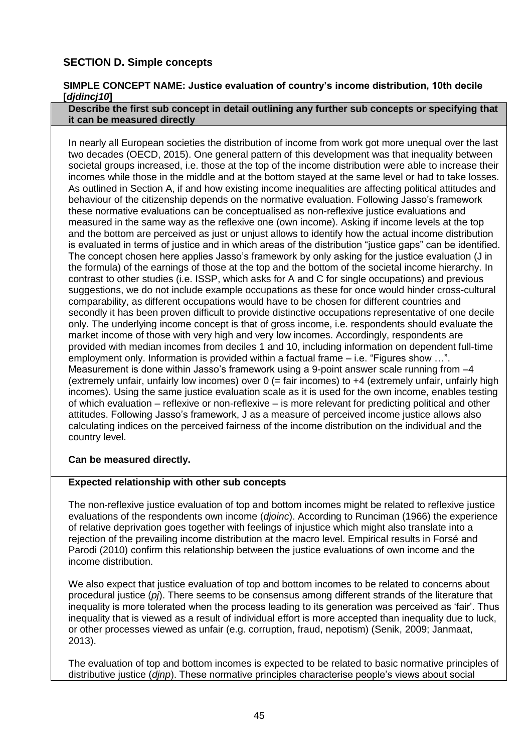# <span id="page-44-0"></span>**SECTION D. Simple concepts**

## <span id="page-44-1"></span>**SIMPLE CONCEPT NAME: Justice evaluation of country's income distribution, 10th decile [***djdincj10***]**

#### **Describe the first sub concept in detail outlining any further sub concepts or specifying that it can be measured directly**

In nearly all European societies the distribution of income from work got more unequal over the last two decades (OECD, 2015). One general pattern of this development was that inequality between societal groups increased, i.e. those at the top of the income distribution were able to increase their incomes while those in the middle and at the bottom stayed at the same level or had to take losses. As outlined in Section A, if and how existing income inequalities are affecting political attitudes and behaviour of the citizenship depends on the normative evaluation. Following Jasso's framework these normative evaluations can be conceptualised as non-reflexive justice evaluations and measured in the same way as the reflexive one (own income). Asking if income levels at the top and the bottom are perceived as just or unjust allows to identify how the actual income distribution is evaluated in terms of justice and in which areas of the distribution "justice gaps" can be identified. The concept chosen here applies Jasso's framework by only asking for the justice evaluation (J in the formula) of the earnings of those at the top and the bottom of the societal income hierarchy. In contrast to other studies (i.e. ISSP, which asks for A and C for single occupations) and previous suggestions, we do not include example occupations as these for once would hinder cross-cultural comparability, as different occupations would have to be chosen for different countries and secondly it has been proven difficult to provide distinctive occupations representative of one decile only. The underlying income concept is that of gross income, i.e. respondents should evaluate the market income of those with very high and very low incomes. Accordingly, respondents are provided with median incomes from deciles 1 and 10, including information on dependent full-time employment only. Information is provided within a factual frame – i.e. "Figures show …". Measurement is done within Jasso's framework using a 9-point answer scale running from -4 (extremely unfair, unfairly low incomes) over  $0$  (= fair incomes) to  $+4$  (extremely unfair, unfairly high incomes). Using the same justice evaluation scale as it is used for the own income, enables testing of which evaluation – reflexive or non-reflexive – is more relevant for predicting political and other attitudes. Following Jasso's framework, J as a measure of perceived income justice allows also calculating indices on the perceived fairness of the income distribution on the individual and the country level.

# **Can be measured directly.**

## **Expected relationship with other sub concepts**

The non-reflexive justice evaluation of top and bottom incomes might be related to reflexive justice evaluations of the respondents own income (*djoinc*). According to Runciman (1966) the experience of relative deprivation goes together with feelings of injustice which might also translate into a rejection of the prevailing income distribution at the macro level. Empirical results in Forsé and Parodi (2010) confirm this relationship between the justice evaluations of own income and the income distribution.

We also expect that justice evaluation of top and bottom incomes to be related to concerns about procedural justice (*pj*). There seems to be consensus among different strands of the literature that inequality is more tolerated when the process leading to its generation was perceived as 'fair'. Thus inequality that is viewed as a result of individual effort is more accepted than inequality due to luck, or other processes viewed as unfair (e.g. corruption, fraud, nepotism) (Senik, 2009; Janmaat, 2013).

The evaluation of top and bottom incomes is expected to be related to basic normative principles of distributive justice (*djnp*). These normative principles characterise people's views about social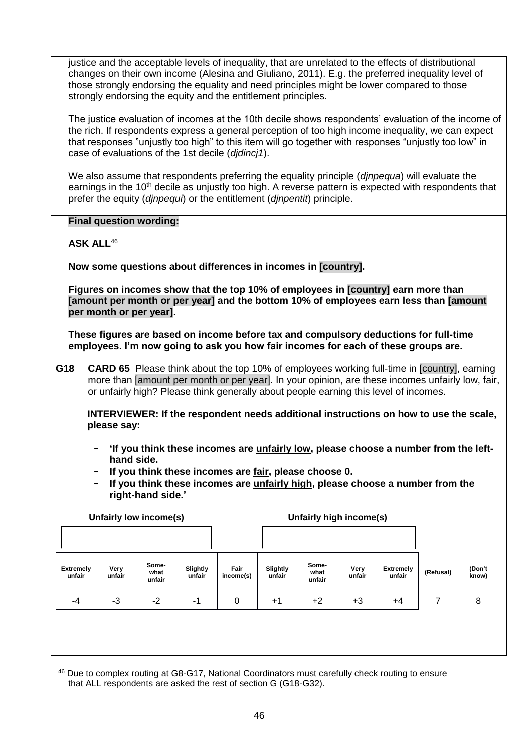justice and the acceptable levels of inequality, that are unrelated to the effects of distributional changes on their own income (Alesina and Giuliano, 2011). E.g. the preferred inequality level of those strongly endorsing the equality and need principles might be lower compared to those strongly endorsing the equity and the entitlement principles.

The justice evaluation of incomes at the 10th decile shows respondents' evaluation of the income of the rich. If respondents express a general perception of too high income inequality, we can expect that responses "unjustly too high" to this item will go together with responses "unjustly too low" in case of evaluations of the 1st decile (*djdincj1*).

We also assume that respondents preferring the equality principle (*djnpequa*) will evaluate the earnings in the 10<sup>th</sup> decile as unjustly too high. A reverse pattern is expected with respondents that prefer the equity (*djnpequi*) or the entitlement (*djnpentit*) principle.

**Final question wording:**

**ASK ALL**<sup>46</sup>

**Now some questions about differences in incomes in [country].**

**Figures on incomes show that the top 10% of employees in [country] earn more than [amount per month or per year] and the bottom 10% of employees earn less than [amount per month or per year].**

**These figures are based on income before tax and compulsory deductions for full-time employees. I'm now going to ask you how fair incomes for each of these groups are.**

**G18 CARD 65** Please think about the top 10% of employees working full-time in [country], earning more than [amount per month or per year]. In your opinion, are these incomes unfairly low, fair, or unfairly high? Please think generally about people earning this level of incomes.

**INTERVIEWER: If the respondent needs additional instructions on how to use the scale, please say:**

- **- 'If you think these incomes are unfairly low, please choose a number from the lefthand side.**
- **- If you think these incomes are fair, please choose 0.**
- **- If you think these incomes are unfairly high, please choose a number from the right-hand side.'**

| Unfairly low income(s)     |                |                         |                    |                   |                    | Unfairly high income(s) |                |                            |           |                 |
|----------------------------|----------------|-------------------------|--------------------|-------------------|--------------------|-------------------------|----------------|----------------------------|-----------|-----------------|
|                            |                |                         |                    |                   |                    |                         |                |                            |           |                 |
| <b>Extremely</b><br>unfair | Very<br>unfair | Some-<br>what<br>unfair | Slightly<br>unfair | Fair<br>income(s) | Slightly<br>unfair | Some-<br>what<br>unfair | Very<br>unfair | <b>Extremely</b><br>unfair | (Refusal) | (Don't<br>know) |
| -4                         | -3             | $-2$                    | $-1$               | 0                 | $+1$               | $+2$                    | $+3$           | $+4$                       | 7         | 8               |
|                            |                |                         |                    |                   |                    |                         |                |                            |           |                 |
|                            |                |                         |                    |                   |                    |                         |                |                            |           |                 |

-<sup>46</sup> Due to complex routing at G8-G17, National Coordinators must carefully check routing to ensure that ALL respondents are asked the rest of section G (G18-G32).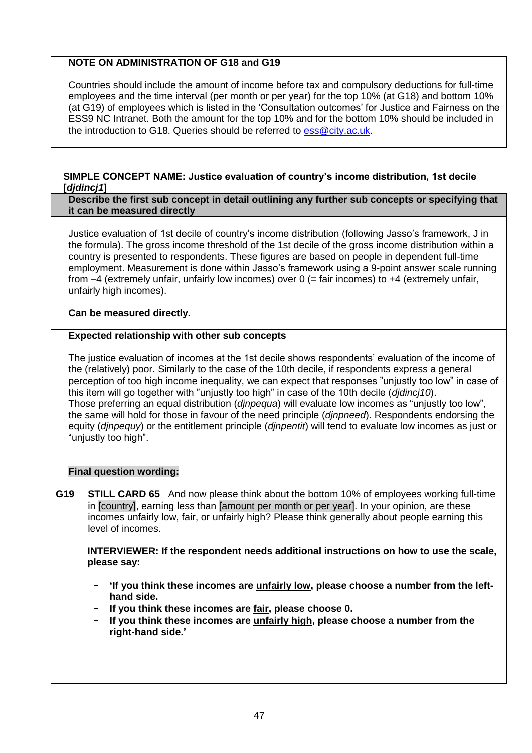# **NOTE ON ADMINISTRATION OF G18 and G19**

Countries should include the amount of income before tax and compulsory deductions for full-time employees and the time interval (per month or per year) for the top 10% (at G18) and bottom 10% (at G19) of employees which is listed in the 'Consultation outcomes' for Justice and Fairness on the ESS9 NC Intranet. Both the amount for the top 10% and for the bottom 10% should be included in the introduction to G18. Queries should be referred to  $\overline{ess@city}$ .ac.uk.

## <span id="page-46-0"></span>**SIMPLE CONCEPT NAME: Justice evaluation of country's income distribution, 1st decile [***djdincj1***]**

#### **Describe the first sub concept in detail outlining any further sub concepts or specifying that it can be measured directly**

Justice evaluation of 1st decile of country's income distribution (following Jasso's framework, J in the formula). The gross income threshold of the 1st decile of the gross income distribution within a country is presented to respondents. These figures are based on people in dependent full-time employment. Measurement is done within Jasso's framework using a 9-point answer scale running from  $-4$  (extremely unfair, unfairly low incomes) over 0 (= fair incomes) to  $+4$  (extremely unfair, unfairly high incomes).

**Can be measured directly.**

# **Expected relationship with other sub concepts**

The justice evaluation of incomes at the 1st decile shows respondents' evaluation of the income of the (relatively) poor. Similarly to the case of the 10th decile, if respondents express a general perception of too high income inequality, we can expect that responses "unjustly too low" in case of this item will go together with "unjustly too high" in case of the 10th decile (*djdincj10*). Those preferring an equal distribution (*djnpequa*) will evaluate low incomes as "unjustly too low", the same will hold for those in favour of the need principle (*djnpneed*). Respondents endorsing the equity (*djnpequy*) or the entitlement principle (*djnpentit*) will tend to evaluate low incomes as just or "unjustly too high".

## **Final question wording:**

**G19 STILL CARD 65** And now please think about the bottom 10% of employees working full-time in [country], earning less than [amount per month or per year]. In your opinion, are these incomes unfairly low, fair, or unfairly high? Please think generally about people earning this level of incomes.

**INTERVIEWER: If the respondent needs additional instructions on how to use the scale, please say:**

- **- 'If you think these incomes are unfairly low, please choose a number from the lefthand side.**
- **- If you think these incomes are fair, please choose 0.**
- **- If you think these incomes are unfairly high, please choose a number from the right-hand side.'**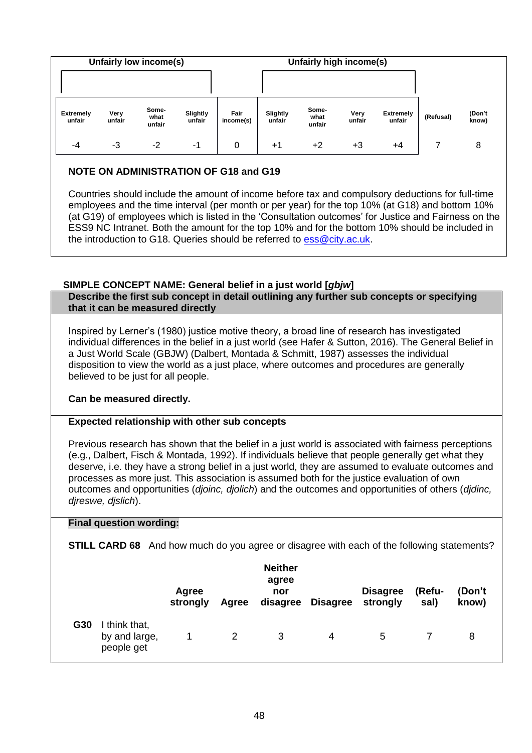| Unfairly low income(s) |                            |                |                         |                    |                   |                    | Unfairly high income(s) |                |                            |           |                 |  |
|------------------------|----------------------------|----------------|-------------------------|--------------------|-------------------|--------------------|-------------------------|----------------|----------------------------|-----------|-----------------|--|
|                        |                            |                |                         |                    |                   |                    |                         |                |                            |           |                 |  |
|                        | <b>Extremely</b><br>unfair | Very<br>unfair | Some-<br>what<br>unfair | Slightly<br>unfair | Fair<br>income(s) | Slightly<br>unfair | Some-<br>what<br>unfair | Very<br>unfair | <b>Extremely</b><br>unfair | (Refusal) | (Don't<br>know) |  |
|                        | -4                         | -3             | $-2$                    | -1                 | 0                 | $+1$               | $+2$                    | +3             | $+4$                       |           | 8               |  |

# **NOTE ON ADMINISTRATION OF G18 and G19**

Countries should include the amount of income before tax and compulsory deductions for full-time employees and the time interval (per month or per year) for the top 10% (at G18) and bottom 10% (at G19) of employees which is listed in the 'Consultation outcomes' for Justice and Fairness on the ESS9 NC Intranet. Both the amount for the top 10% and for the bottom 10% should be included in the introduction to G18. Queries should be referred to  $\overline{\text{ess}\,\textcircled{c} \text{ity}.a\text{c}.u\text{k}}$ .

# <span id="page-47-0"></span>**SIMPLE CONCEPT NAME: General belief in a just world [***gbjw***]**

**Describe the first sub concept in detail outlining any further sub concepts or specifying that it can be measured directly**

Inspired by Lerner's (1980) justice motive theory, a broad line of research has investigated individual differences in the belief in a just world (see Hafer & Sutton, 2016). The General Belief in a Just World Scale (GBJW) (Dalbert, Montada & Schmitt, 1987) assesses the individual disposition to view the world as a just place, where outcomes and procedures are generally believed to be just for all people.

## **Can be measured directly.**

## **Expected relationship with other sub concepts**

Previous research has shown that the belief in a just world is associated with fairness perceptions (e.g., Dalbert, Fisch & Montada, 1992). If individuals believe that people generally get what they deserve, i.e. they have a strong belief in a just world, they are assumed to evaluate outcomes and processes as more just. This association is assumed both for the justice evaluation of own outcomes and opportunities (*djoinc, djolich*) and the outcomes and opportunities of others (*djdinc, djreswe, djslich*).

## **Final question wording:**

**STILL CARD 68** And how much do you agree or disagree with each of the following statements?

|     |                                            | Agree<br>strongly | Agree | <b>Neither</b><br>agree<br>nor<br>disagree | Disagree | <b>Disagree</b><br>strongly | (Refu-<br>sal) | (Don't<br>know) |  |
|-----|--------------------------------------------|-------------------|-------|--------------------------------------------|----------|-----------------------------|----------------|-----------------|--|
| G30 | think that,<br>by and large,<br>people get |                   | 2     | 3                                          | 4        | 5                           |                | 8               |  |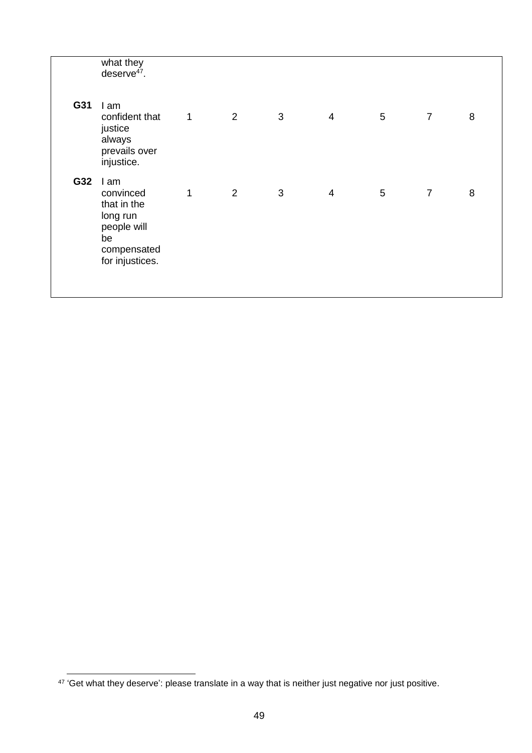|     | what they<br>deserve $47$ .                                                                         |              |   |   |                |                |                |   |  |
|-----|-----------------------------------------------------------------------------------------------------|--------------|---|---|----------------|----------------|----------------|---|--|
| G31 | I am<br>confident that<br>justice<br>always<br>prevails over<br>injustice.                          | $\mathbf{1}$ | 2 | 3 | $\overline{4}$ | 5              | $\overline{7}$ | 8 |  |
| G32 | I am<br>convinced<br>that in the<br>long run<br>people will<br>be<br>compensated<br>for injustices. | 1            | 2 | 3 | $\overline{4}$ | $\overline{5}$ | $\overline{7}$ | 8 |  |

 47 'Get what they deserve': please translate in a way that is neither just negative nor just positive.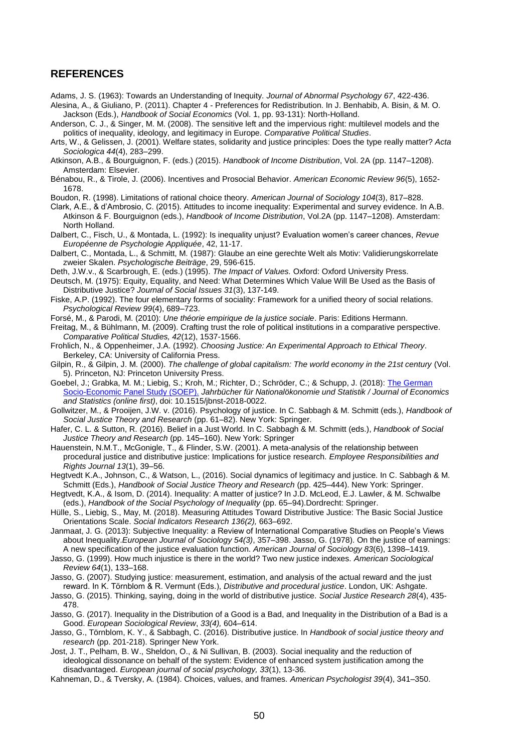#### <span id="page-49-0"></span>**REFERENCES**

- Adams, J. S. (1963): Towards an Understanding of Inequity. *Journal of Abnormal Psychology 67*, 422-436.
- Alesina, A., & Giuliano, P. (2011). Chapter 4 Preferences for Redistribution. In J. Benhabib, A. Bisin, & M. O. Jackson (Eds.), *Handbook of Social Economics* (Vol. 1, pp. 93-131): North-Holland.
- Anderson, C. J., & Singer, M. M. (2008). The sensitive left and the impervious right: multilevel models and the politics of inequality, ideology, and legitimacy in Europe. *Comparative Political Studies*.
- Arts, W., & Gelissen, J. (2001). Welfare states, solidarity and justice principles: Does the type really matter? *Acta Sociologica 44*(4), 283–299.
- Atkinson, A.B., & Bourguignon, F. (eds.) (2015). *Handbook of Income Distribution*, Vol. 2A (pp. 1147–1208). Amsterdam: Elsevier.
- Bénabou, R., & Tirole, J. (2006). Incentives and Prosocial Behavior. *American Economic Review 96*(5), 1652- 1678.

Boudon, R. (1998). Limitations of rational choice theory. *American Journal of Sociology 104*(3), 817–828.

- Clark, A.E., & d'Ambrosio, C. (2015). Attitudes to income inequality: Experimental and survey evidence. In A.B. Atkinson & F. Bourguignon (eds.), *Handbook of Income Distribution*, Vol.2A (pp. 1147–1208). Amsterdam: North Holland.
- Dalbert, C., Fisch, U., & Montada, L. (1992): Is inequality unjust? Evaluation women's career chances, *Revue Européenne de Psychologie Appliquée*, 42, 11-17.
- Dalbert, C., Montada, L., & Schmitt, M. (1987): Glaube an eine gerechte Welt als Motiv: Validierungskorrelate zweier Skalen. *Psychologische Beiträge*, 29, 596-615.

Deth, J.W.v., & Scarbrough, E. (eds.) (1995). *The Impact of Values.* Oxford: Oxford University Press.

- Deutsch, M. (1975): Equity, Equality, and Need: What Determines Which Value Will Be Used as the Basis of Distributive Justice? *Journal of Social Issues 31*(3), 137-149.
- Fiske, A.P. (1992). The four elementary forms of sociality: Framework for a unified theory of social relations. *Psychological Review 99*(4), 689–723.
- Forsé, M., & Parodi, M. (2010): *Une théorie empirique de la justice sociale*. Paris: Editions Hermann.
- Freitag, M., & Bühlmann, M. (2009). Crafting trust the role of political institutions in a comparative perspective. *Comparative Political Studies, 42*(12), 1537-1566.
- Frohlich, N., & Oppenheimer, J.A. (1992). *Choosing Justice: An Experimental Approach to Ethical Theory*. Berkeley, CA: University of California Press.
- Gilpin, R., & Gilpin, J. M. (2000). *The challenge of global capitalism: The world economy in the 21st century* (Vol. 5). Princeton, NJ: Princeton University Press.
- Goebel, J.; Grabka, M. M.; Liebig, S.; Kroh, M.; Richter, D.; Schröder, C.; & Schupp, J. (2018): The German [Socio-Economic Panel Study \(SOEP\).](https://doi.org/10.1515/jbnst-2018-0022) *Jahrbücher für Nationalökonomie und Statistik / Journal of Economics and Statistics (online first)*, doi: 10.1515/jbnst-2018-0022.
- Gollwitzer, M., & Prooijen, J.W. v. (2016). Psychology of justice. In C. Sabbagh & M. Schmitt (eds.), *Handbook of Social Justice Theory and Research* (pp. 61–82). New York: Springer.
- Hafer, C. L. & Sutton, R. (2016). Belief in a Just World. In C. Sabbagh & M. Schmitt (eds.), *Handbook of Social Justice Theory and Research* (pp. 145–160). New York: Springer
- Hauenstein, N.M.T., McGonigle, T., & Flinder, S.W. (2001). A meta-analysis of the relationship between procedural justice and distributive justice: Implications for justice research. *Employee Responsibilities and Rights Journal 13*(1), 39–56.
- Hegtvedt K.A., Johnson, C., & Watson, L., (2016). Social dynamics of legitimacy and justice. In C. Sabbagh & M. Schmitt (Eds.), *Handbook of Social Justice Theory and Research* (pp. 425–444). New York: Springer.
- Hegtvedt, K.A., & Isom, D. (2014). Inequality: A matter of justice? In J.D. McLeod, E.J. Lawler, & M. Schwalbe (eds.), *Handbook of the Social Psychology of Inequality* (pp. 65–94).Dordrecht: Springer.
- Hülle, S., Liebig, S., May, M. (2018). Measuring Attitudes Toward Distributive Justice: The Basic Social Justice Orientations Scale. *Social Indicators Research 136(2),* 663–692.
- Janmaat, J. G. (2013): Subjective Inequality: a Review of International Comparative Studies on People's Views about Inequality.*European Journal of Sociology 54(3)*, 357–398. Jasso, G. (1978). On the justice of earnings: A new specification of the justice evaluation function. *American Journal of Sociology 83*(6), 1398–1419.
- Jasso, G. (1999). How much injustice is there in the world? Two new justice indexes. *American Sociological Review 64*(1), 133–168.
- Jasso, G. (2007). Studying justice: measurement, estimation, and analysis of the actual reward and the just reward. In K. Törnblom & R. Vermunt (Eds.), *Distributive and procedural justice*. London, UK: Ashgate.
- Jasso, G. (2015). Thinking, saying, doing in the world of distributive justice. *Social Justice Research 28*(4), 435- 478.
- Jasso, G. (2017). Inequality in the Distribution of a Good is a Bad, and Inequality in the Distribution of a Bad is a Good. *European Sociological Review*, *33(4),* 604–614.
- Jasso, G., Törnblom, K. Y., & Sabbagh, C. (2016). Distributive justice. In *Handbook of social justice theory and research* (pp. 201-218). Springer New York.
- Jost, J. T., Pelham, B. W., Sheldon, O., & Ni Sullivan, B. (2003). Social inequality and the reduction of ideological dissonance on behalf of the system: Evidence of enhanced system justification among the disadvantaged. *European journal of social psychology, 33*(1), 13-36.
- Kahneman, D., & Tversky, A. (1984). Choices, values, and frames. *American Psychologist 39*(4), 341–350.